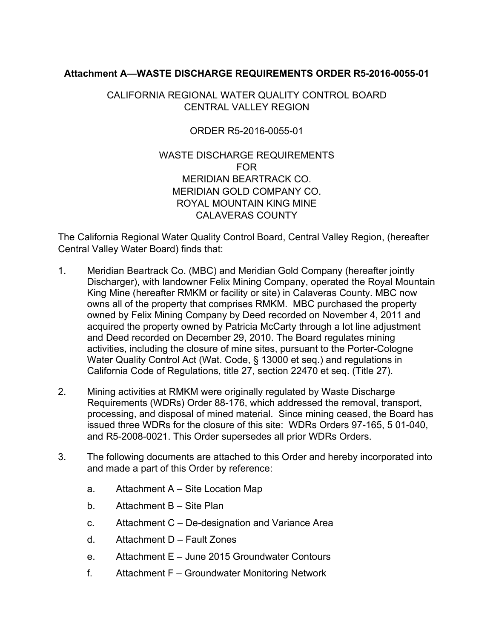## **Attachment A—WASTE DISCHARGE REQUIREMENTS ORDER R5-2016-0055-01**

## CALIFORNIA REGIONAL WATER QUALITY CONTROL BOARD CENTRAL VALLEY REGION

## ORDER R5-2016-0055-01

## WASTE DISCHARGE REQUIREMENTS FOR MERIDIAN BEARTRACK CO. MERIDIAN GOLD COMPANY CO. ROYAL MOUNTAIN KING MINE CALAVERAS COUNTY

The California Regional Water Quality Control Board, Central Valley Region, (hereafter Central Valley Water Board) finds that:

- 1. Meridian Beartrack Co. (MBC) and Meridian Gold Company (hereafter jointly Discharger), with landowner Felix Mining Company, operated the Royal Mountain King Mine (hereafter RMKM or facility or site) in Calaveras County. MBC now owns all of the property that comprises RMKM. MBC purchased the property owned by Felix Mining Company by Deed recorded on November 4, 2011 and acquired the property owned by Patricia McCarty through a lot line adjustment and Deed recorded on December 29, 2010. The Board regulates mining activities, including the closure of mine sites, pursuant to the Porter-Cologne Water Quality Control Act (Wat. Code, § 13000 et seq.) and regulations in California Code of Regulations, title 27, section 22470 et seq. (Title 27).
- 2. Mining activities at RMKM were originally regulated by Waste Discharge Requirements (WDRs) Order 88-176, which addressed the removal, transport, processing, and disposal of mined material. Since mining ceased, the Board has issued three WDRs for the closure of this site: WDRs Orders 97-165, 5 01-040, and R5-2008-0021. This Order supersedes all prior WDRs Orders.
- 3. The following documents are attached to this Order and hereby incorporated into and made a part of this Order by reference:
	- a. Attachment A Site Location Map
	- b. Attachment B Site Plan
	- c. Attachment C De-designation and Variance Area
	- d. Attachment D Fault Zones
	- e. Attachment E June 2015 Groundwater Contours
	- f. Attachment F Groundwater Monitoring Network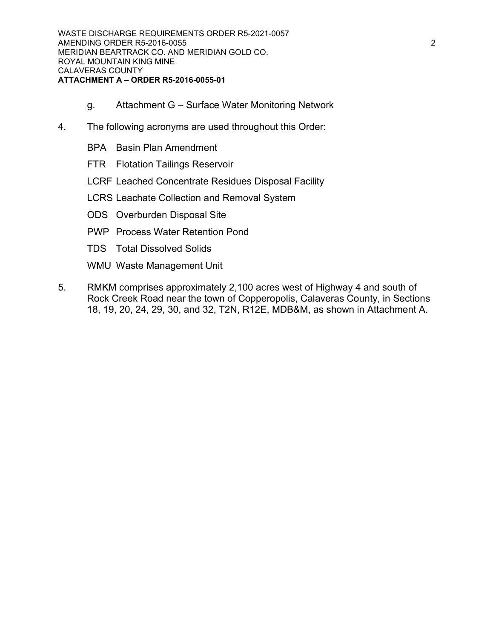- g. Attachment G Surface Water Monitoring Network
- 4. The following acronyms are used throughout this Order:
	- BPA Basin Plan Amendment
	- FTR Flotation Tailings Reservoir
	- LCRF Leached Concentrate Residues Disposal Facility
	- LCRS Leachate Collection and Removal System
	- ODS Overburden Disposal Site
	- PWP Process Water Retention Pond
	- TDS Total Dissolved Solids
	- WMU Waste Management Unit
- 5. RMKM comprises approximately 2,100 acres west of Highway 4 and south of Rock Creek Road near the town of Copperopolis, Calaveras County, in Sections 18, 19, 20, 24, 29, 30, and 32, T2N, R12E, MDB&M, as shown in Attachment A.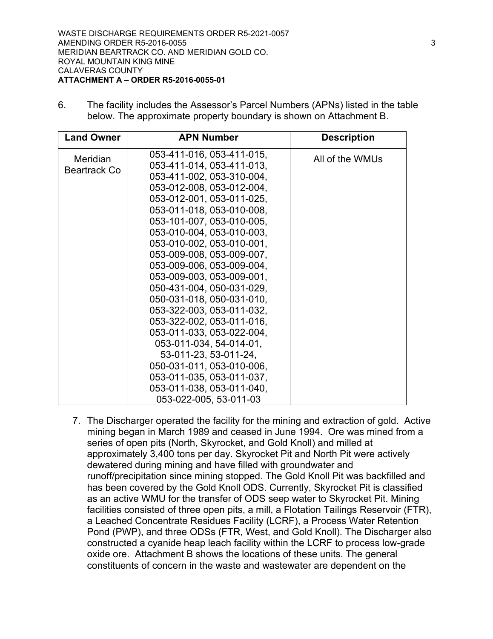6. The facility includes the Assessor's Parcel Numbers (APNs) listed in the table below. The approximate property boundary is shown on Attachment B.

| <b>Land Owner</b>        | <b>APN Number</b>                                                                                                                                                                                                                                                                                                                                                                                                                                                                                         | <b>Description</b> |
|--------------------------|-----------------------------------------------------------------------------------------------------------------------------------------------------------------------------------------------------------------------------------------------------------------------------------------------------------------------------------------------------------------------------------------------------------------------------------------------------------------------------------------------------------|--------------------|
| Meridian<br>Beartrack Co | 053-411-016, 053-411-015,<br>053-411-014, 053-411-013,<br>053-411-002, 053-310-004,<br>053-012-008, 053-012-004,<br>053-012-001, 053-011-025,<br>053-011-018, 053-010-008,<br>053-101-007, 053-010-005,<br>053-010-004, 053-010-003,<br>053-010-002, 053-010-001,<br>053-009-008, 053-009-007,<br>053-009-006, 053-009-004,<br>053-009-003, 053-009-001,<br>050-431-004, 050-031-029,<br>050-031-018, 050-031-010,<br>053-322-003, 053-011-032,<br>053-322-002, 053-011-016,<br>053-011-033, 053-022-004, | All of the WMUs    |
|                          | 053-011-034, 54-014-01,<br>53-011-23, 53-011-24,<br>050-031-011, 053-010-006,<br>053-011-035, 053-011-037,<br>053-011-038, 053-011-040,<br>053-022-005, 53-011-03                                                                                                                                                                                                                                                                                                                                         |                    |

7. The Discharger operated the facility for the mining and extraction of gold. Active mining began in March 1989 and ceased in June 1994. Ore was mined from a series of open pits (North, Skyrocket, and Gold Knoll) and milled at approximately 3,400 tons per day. Skyrocket Pit and North Pit were actively dewatered during mining and have filled with groundwater and runoff/precipitation since mining stopped. The Gold Knoll Pit was backfilled and has been covered by the Gold Knoll ODS. Currently, Skyrocket Pit is classified as an active WMU for the transfer of ODS seep water to Skyrocket Pit. Mining facilities consisted of three open pits, a mill, a Flotation Tailings Reservoir (FTR), a Leached Concentrate Residues Facility (LCRF), a Process Water Retention Pond (PWP), and three ODSs (FTR, West, and Gold Knoll). The Discharger also constructed a cyanide heap leach facility within the LCRF to process low-grade oxide ore. Attachment B shows the locations of these units. The general constituents of concern in the waste and wastewater are dependent on the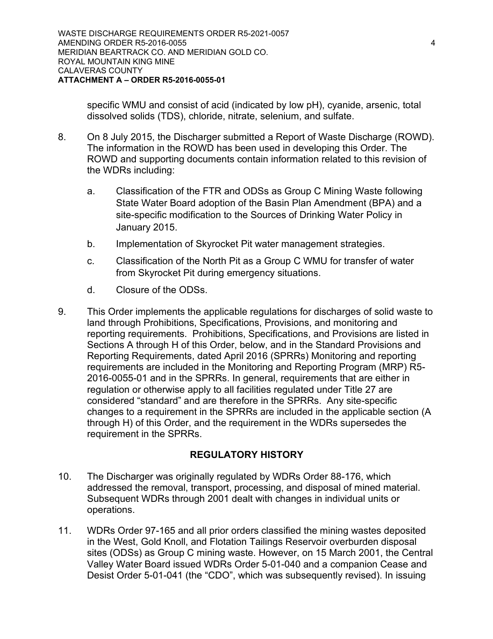specific WMU and consist of acid (indicated by low pH), cyanide, arsenic, total dissolved solids (TDS), chloride, nitrate, selenium, and sulfate.

- 8. On 8 July 2015, the Discharger submitted a Report of Waste Discharge (ROWD). The information in the ROWD has been used in developing this Order. The ROWD and supporting documents contain information related to this revision of the WDRs including:
	- a. Classification of the FTR and ODSs as Group C Mining Waste following State Water Board adoption of the Basin Plan Amendment (BPA) and a site-specific modification to the Sources of Drinking Water Policy in January 2015.
	- b. Implementation of Skyrocket Pit water management strategies.
	- c. Classification of the North Pit as a Group C WMU for transfer of water from Skyrocket Pit during emergency situations.
	- d. Closure of the ODSs.
- 9. This Order implements the applicable regulations for discharges of solid waste to land through Prohibitions, Specifications, Provisions, and monitoring and reporting requirements. Prohibitions, Specifications, and Provisions are listed in Sections A through H of this Order, below, and in the Standard Provisions and Reporting Requirements, dated April 2016 (SPRRs) Monitoring and reporting requirements are included in the Monitoring and Reporting Program (MRP) R5- 2016-0055-01 and in the SPRRs. In general, requirements that are either in regulation or otherwise apply to all facilities regulated under Title 27 are considered "standard" and are therefore in the SPRRs. Any site-specific changes to a requirement in the SPRRs are included in the applicable section (A through H) of this Order, and the requirement in the WDRs supersedes the requirement in the SPRRs.

## **REGULATORY HISTORY**

- 10. The Discharger was originally regulated by WDRs Order 88-176, which addressed the removal, transport, processing, and disposal of mined material. Subsequent WDRs through 2001 dealt with changes in individual units or operations.
- 11. WDRs Order 97-165 and all prior orders classified the mining wastes deposited in the West, Gold Knoll, and Flotation Tailings Reservoir overburden disposal sites (ODSs) as Group C mining waste. However, on 15 March 2001, the Central Valley Water Board issued WDRs Order 5-01-040 and a companion Cease and Desist Order 5-01-041 (the "CDO", which was subsequently revised). In issuing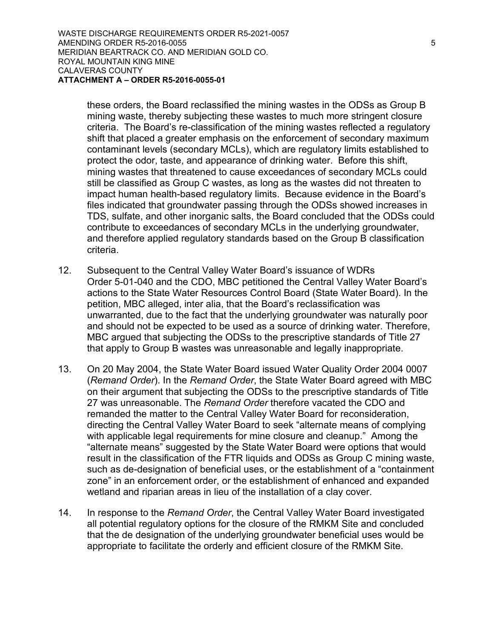these orders, the Board reclassified the mining wastes in the ODSs as Group B mining waste, thereby subjecting these wastes to much more stringent closure criteria. The Board's re-classification of the mining wastes reflected a regulatory shift that placed a greater emphasis on the enforcement of secondary maximum contaminant levels (secondary MCLs), which are regulatory limits established to protect the odor, taste, and appearance of drinking water. Before this shift, mining wastes that threatened to cause exceedances of secondary MCLs could still be classified as Group C wastes, as long as the wastes did not threaten to impact human health-based regulatory limits. Because evidence in the Board's files indicated that groundwater passing through the ODSs showed increases in TDS, sulfate, and other inorganic salts, the Board concluded that the ODSs could contribute to exceedances of secondary MCLs in the underlying groundwater, and therefore applied regulatory standards based on the Group B classification criteria.

- 12. Subsequent to the Central Valley Water Board's issuance of WDRs Order 5-01-040 and the CDO, MBC petitioned the Central Valley Water Board's actions to the State Water Resources Control Board (State Water Board). In the petition, MBC alleged, inter alia, that the Board's reclassification was unwarranted, due to the fact that the underlying groundwater was naturally poor and should not be expected to be used as a source of drinking water. Therefore, MBC argued that subjecting the ODSs to the prescriptive standards of Title 27 that apply to Group B wastes was unreasonable and legally inappropriate.
- 13. On 20 May 2004, the State Water Board issued Water Quality Order 2004 0007 (*Remand Order*). In the *Remand Order*, the State Water Board agreed with MBC on their argument that subjecting the ODSs to the prescriptive standards of Title 27 was unreasonable. The *Remand Order* therefore vacated the CDO and remanded the matter to the Central Valley Water Board for reconsideration, directing the Central Valley Water Board to seek "alternate means of complying with applicable legal requirements for mine closure and cleanup." Among the "alternate means" suggested by the State Water Board were options that would result in the classification of the FTR liquids and ODSs as Group C mining waste, such as de-designation of beneficial uses, or the establishment of a "containment zone" in an enforcement order, or the establishment of enhanced and expanded wetland and riparian areas in lieu of the installation of a clay cover.
- 14. In response to the *Remand Order*, the Central Valley Water Board investigated all potential regulatory options for the closure of the RMKM Site and concluded that the de designation of the underlying groundwater beneficial uses would be appropriate to facilitate the orderly and efficient closure of the RMKM Site.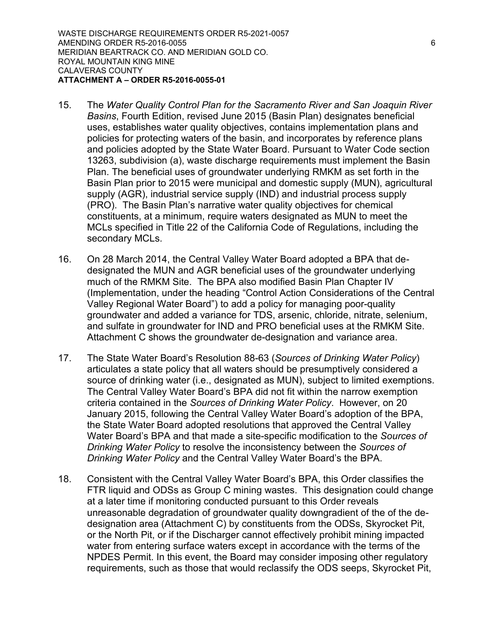- 15. The *Water Quality Control Plan for the Sacramento River and San Joaquin River Basins*, Fourth Edition, revised June 2015 (Basin Plan) designates beneficial uses, establishes water quality objectives, contains implementation plans and policies for protecting waters of the basin, and incorporates by reference plans and policies adopted by the State Water Board. Pursuant to Water Code section 13263, subdivision (a), waste discharge requirements must implement the Basin Plan. The beneficial uses of groundwater underlying RMKM as set forth in the Basin Plan prior to 2015 were municipal and domestic supply (MUN), agricultural supply (AGR), industrial service supply (IND) and industrial process supply (PRO). The Basin Plan's narrative water quality objectives for chemical constituents, at a minimum, require waters designated as MUN to meet the MCLs specified in Title 22 of the California Code of Regulations, including the secondary MCLs.
- 16. On 28 March 2014, the Central Valley Water Board adopted a BPA that dedesignated the MUN and AGR beneficial uses of the groundwater underlying much of the RMKM Site. The BPA also modified Basin Plan Chapter IV (Implementation, under the heading "Control Action Considerations of the Central Valley Regional Water Board") to add a policy for managing poor-quality groundwater and added a variance for TDS, arsenic, chloride, nitrate, selenium, and sulfate in groundwater for IND and PRO beneficial uses at the RMKM Site. Attachment C shows the groundwater de-designation and variance area.
- 17. The State Water Board's Resolution 88-63 (*Sources of Drinking Water Policy*) articulates a state policy that all waters should be presumptively considered a source of drinking water (i.e., designated as MUN), subject to limited exemptions. The Central Valley Water Board's BPA did not fit within the narrow exemption criteria contained in the *Sources of Drinking Water Policy*. However, on 20 January 2015, following the Central Valley Water Board's adoption of the BPA, the State Water Board adopted resolutions that approved the Central Valley Water Board's BPA and that made a site-specific modification to the *Sources of Drinking Water Policy* to resolve the inconsistency between the *Sources of Drinking Water Policy* and the Central Valley Water Board's the BPA.
- 18. Consistent with the Central Valley Water Board's BPA, this Order classifies the FTR liquid and ODSs as Group C mining wastes. This designation could change at a later time if monitoring conducted pursuant to this Order reveals unreasonable degradation of groundwater quality downgradient of the of the dedesignation area (Attachment C) by constituents from the ODSs, Skyrocket Pit, or the North Pit, or if the Discharger cannot effectively prohibit mining impacted water from entering surface waters except in accordance with the terms of the NPDES Permit. In this event, the Board may consider imposing other regulatory requirements, such as those that would reclassify the ODS seeps, Skyrocket Pit,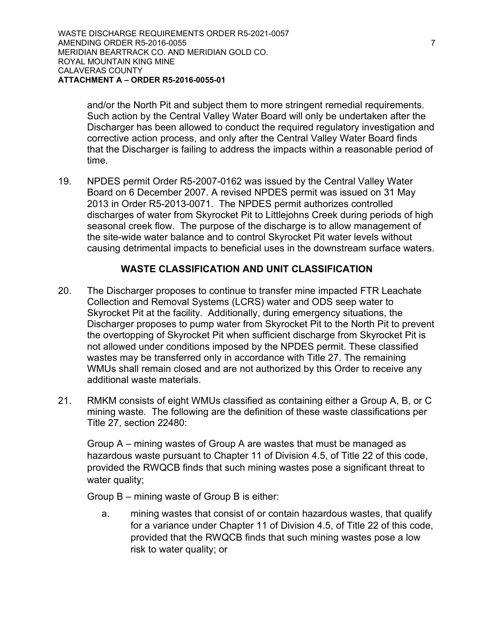and/or the North Pit and subject them to more stringent remedial requirements. Such action by the Central Valley Water Board will only be undertaken after the Discharger has been allowed to conduct the required regulatory investigation and corrective action process, and only after the Central Valley Water Board finds that the Discharger is failing to address the impacts within a reasonable period of time.

19. NPDES permit Order R5-2007-0162 was issued by the Central Valley Water Board on 6 December 2007. A revised NPDES permit was issued on 31 May 2013 in Order R5-2013-0071. The NPDES permit authorizes controlled discharges of water from Skyrocket Pit to Littlejohns Creek during periods of high seasonal creek flow. The purpose of the discharge is to allow management of the site-wide water balance and to control Skyrocket Pit water levels without causing detrimental impacts to beneficial uses in the downstream surface waters.

## **WASTE CLASSIFICATION AND UNIT CLASSIFICATION**

- 20. The Discharger proposes to continue to transfer mine impacted FTR Leachate Collection and Removal Systems (LCRS) water and ODS seep water to Skyrocket Pit at the facility. Additionally, during emergency situations, the Discharger proposes to pump water from Skyrocket Pit to the North Pit to prevent the overtopping of Skyrocket Pit when sufficient discharge from Skyrocket Pit is not allowed under conditions imposed by the NPDES permit. These classified wastes may be transferred only in accordance with Title 27. The remaining WMUs shall remain closed and are not authorized by this Order to receive any additional waste materials.
- 21. RMKM consists of eight WMUs classified as containing either a Group A, B, or C mining waste. The following are the definition of these waste classifications per Title 27, section 22480:

Group A – mining wastes of Group A are wastes that must be managed as hazardous waste pursuant to Chapter 11 of Division 4.5, of Title 22 of this code, provided the RWQCB finds that such mining wastes pose a significant threat to water quality;

Group B – mining waste of Group B is either:

a. mining wastes that consist of or contain hazardous wastes, that qualify for a variance under Chapter 11 of Division 4.5, of Title 22 of this code, provided that the RWQCB finds that such mining wastes pose a low risk to water quality; or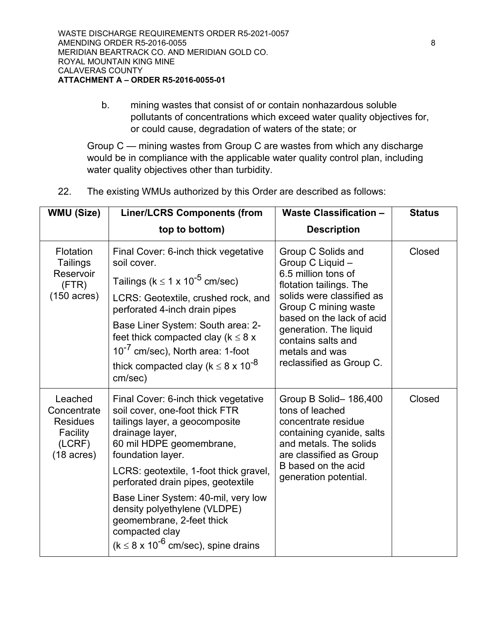b. mining wastes that consist of or contain nonhazardous soluble pollutants of concentrations which exceed water quality objectives for, or could cause, degradation of waters of the state; or

Group C — mining wastes from Group C are wastes from which any discharge would be in compliance with the applicable water quality control plan, including water quality objectives other than turbidity.

22. The existing WMUs authorized by this Order are described as follows:

| <b>WMU (Size)</b>                                                                       | <b>Liner/LCRS Components (from</b>                                                                                                                                                                                                                                                                                                                                                                                                      | <b>Waste Classification -</b>                                                                                                                                                                                                                                            | <b>Status</b> |
|-----------------------------------------------------------------------------------------|-----------------------------------------------------------------------------------------------------------------------------------------------------------------------------------------------------------------------------------------------------------------------------------------------------------------------------------------------------------------------------------------------------------------------------------------|--------------------------------------------------------------------------------------------------------------------------------------------------------------------------------------------------------------------------------------------------------------------------|---------------|
|                                                                                         | top to bottom)                                                                                                                                                                                                                                                                                                                                                                                                                          | <b>Description</b>                                                                                                                                                                                                                                                       |               |
| Flotation<br>Tailings<br>Reservoir<br>(FTR)<br>$(150 \text{ acres})$                    | Final Cover: 6-inch thick vegetative<br>soil cover.<br>Tailings ( $k \le 1 \times 10^{-5}$ cm/sec)<br>LCRS: Geotextile, crushed rock, and<br>perforated 4-inch drain pipes<br>Base Liner System: South area: 2-<br>feet thick compacted clay ( $k \leq 8$ x<br>10 <sup>-7</sup> cm/sec), North area: 1-foot<br>thick compacted clay (k $\leq$ 8 x 10 <sup>-8</sup><br>cm/sec)                                                           | Group C Solids and<br>Group C Liquid -<br>6.5 million tons of<br>flotation tailings. The<br>solids were classified as<br>Group C mining waste<br>based on the lack of acid<br>generation. The liquid<br>contains salts and<br>metals and was<br>reclassified as Group C. | Closed        |
| Leached<br>Concentrate<br><b>Residues</b><br>Facility<br>(LCRF)<br>$(18 \text{ acres})$ | Final Cover: 6-inch thick vegetative<br>soil cover, one-foot thick FTR<br>tailings layer, a geocomposite<br>drainage layer,<br>60 mil HDPE geomembrane,<br>foundation layer.<br>LCRS: geotextile, 1-foot thick gravel,<br>perforated drain pipes, geotextile<br>Base Liner System: 40-mil, very low<br>density polyethylene (VLDPE)<br>geomembrane, 2-feet thick<br>compacted clay<br>( $k \leq 8 \times 10^{-6}$ cm/sec), spine drains | Group B Solid-186,400<br>tons of leached<br>concentrate residue<br>containing cyanide, salts<br>and metals. The solids<br>are classified as Group<br>B based on the acid<br>generation potential.                                                                        | Closed        |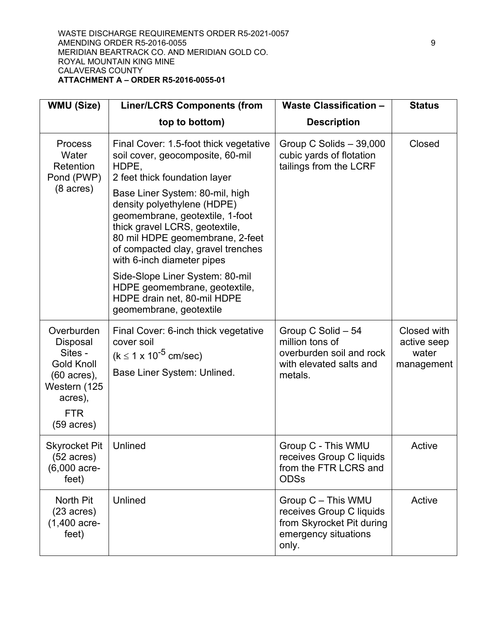#### WASTE DISCHARGE REQUIREMENTS ORDER R5-2021-0057 AMENDING ORDER R5-2016-0055 9 MERIDIAN BEARTRACK CO. AND MERIDIAN GOLD CO. ROYAL MOUNTAIN KING MINE CALAVERAS COUNTY **ATTACHMENT A – ORDER R5-2016-0055-01**

| <b>WMU (Size)</b>                                                                                                                      | <b>Liner/LCRS Components (from</b>                                                                                                                                                                                                                                                                                                                                                                                                                                                               | <b>Waste Classification -</b>                                                                                | <b>Status</b>                                     |
|----------------------------------------------------------------------------------------------------------------------------------------|--------------------------------------------------------------------------------------------------------------------------------------------------------------------------------------------------------------------------------------------------------------------------------------------------------------------------------------------------------------------------------------------------------------------------------------------------------------------------------------------------|--------------------------------------------------------------------------------------------------------------|---------------------------------------------------|
|                                                                                                                                        | top to bottom)                                                                                                                                                                                                                                                                                                                                                                                                                                                                                   | <b>Description</b>                                                                                           |                                                   |
| <b>Process</b><br>Water<br>Retention<br>Pond (PWP)<br>$(8 \text{ acres})$                                                              | Final Cover: 1.5-foot thick vegetative<br>soil cover, geocomposite, 60-mil<br>HDPE,<br>2 feet thick foundation layer<br>Base Liner System: 80-mil, high<br>density polyethylene (HDPE)<br>geomembrane, geotextile, 1-foot<br>thick gravel LCRS, geotextile,<br>80 mil HDPE geomembrane, 2-feet<br>of compacted clay, gravel trenches<br>with 6-inch diameter pipes<br>Side-Slope Liner System: 80-mil<br>HDPE geomembrane, geotextile,<br>HDPE drain net, 80-mil HDPE<br>geomembrane, geotextile | Group C Solids - 39,000<br>cubic yards of flotation<br>tailings from the LCRF                                | Closed                                            |
| Overburden<br>Disposal<br>Sites -<br><b>Gold Knoll</b><br>(60 acres),<br>Western (125<br>acres),<br><b>FTR</b><br>$(59 \text{ acres})$ | Final Cover: 6-inch thick vegetative<br>cover soil<br>$(k \le 1 \times 10^{-5}$ cm/sec)<br>Base Liner System: Unlined.                                                                                                                                                                                                                                                                                                                                                                           | Group C Solid - 54<br>million tons of<br>overburden soil and rock<br>with elevated salts and<br>metals.      | Closed with<br>active seep<br>water<br>management |
| <b>Skyrocket Pit</b><br>$(52 \text{ acres})$<br>(6,000 acre-<br>feet)                                                                  | Unlined                                                                                                                                                                                                                                                                                                                                                                                                                                                                                          | Group C - This WMU<br>receives Group C liquids<br>from the FTR LCRS and<br><b>ODSs</b>                       | Active                                            |
| North Pit<br>$(23 \text{ acres})$<br>$(1,400$ acre-<br>feet)                                                                           | Unlined                                                                                                                                                                                                                                                                                                                                                                                                                                                                                          | Group C - This WMU<br>receives Group C liquids<br>from Skyrocket Pit during<br>emergency situations<br>only. | Active                                            |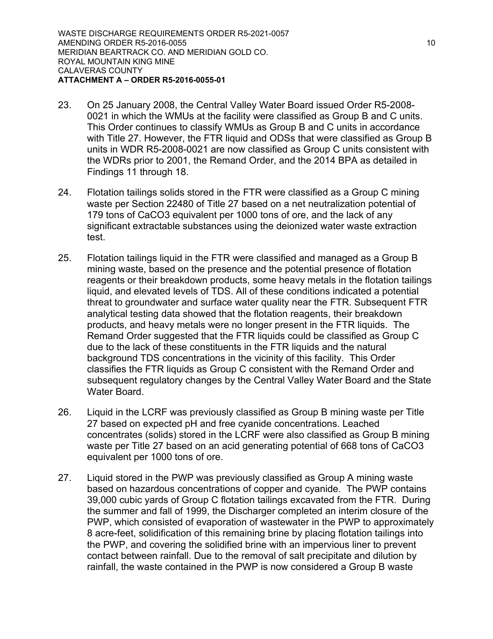- 23. On 25 January 2008, the Central Valley Water Board issued Order R5-2008- 0021 in which the WMUs at the facility were classified as Group B and C units. This Order continues to classify WMUs as Group B and C units in accordance with Title 27. However, the FTR liquid and ODSs that were classified as Group B units in WDR R5-2008-0021 are now classified as Group C units consistent with the WDRs prior to 2001, the Remand Order, and the 2014 BPA as detailed in Findings 11 through 18.
- 24. Flotation tailings solids stored in the FTR were classified as a Group C mining waste per Section 22480 of Title 27 based on a net neutralization potential of 179 tons of CaCO3 equivalent per 1000 tons of ore, and the lack of any significant extractable substances using the deionized water waste extraction test.
- 25. Flotation tailings liquid in the FTR were classified and managed as a Group B mining waste, based on the presence and the potential presence of flotation reagents or their breakdown products, some heavy metals in the flotation tailings liquid, and elevated levels of TDS. All of these conditions indicated a potential threat to groundwater and surface water quality near the FTR. Subsequent FTR analytical testing data showed that the flotation reagents, their breakdown products, and heavy metals were no longer present in the FTR liquids. The Remand Order suggested that the FTR liquids could be classified as Group C due to the lack of these constituents in the FTR liquids and the natural background TDS concentrations in the vicinity of this facility. This Order classifies the FTR liquids as Group C consistent with the Remand Order and subsequent regulatory changes by the Central Valley Water Board and the State Water Board.
- 26. Liquid in the LCRF was previously classified as Group B mining waste per Title 27 based on expected pH and free cyanide concentrations. Leached concentrates (solids) stored in the LCRF were also classified as Group B mining waste per Title 27 based on an acid generating potential of 668 tons of CaCO3 equivalent per 1000 tons of ore.
- 27. Liquid stored in the PWP was previously classified as Group A mining waste based on hazardous concentrations of copper and cyanide. The PWP contains 39,000 cubic yards of Group C flotation tailings excavated from the FTR. During the summer and fall of 1999, the Discharger completed an interim closure of the PWP, which consisted of evaporation of wastewater in the PWP to approximately 8 acre-feet, solidification of this remaining brine by placing flotation tailings into the PWP, and covering the solidified brine with an impervious liner to prevent contact between rainfall. Due to the removal of salt precipitate and dilution by rainfall, the waste contained in the PWP is now considered a Group B waste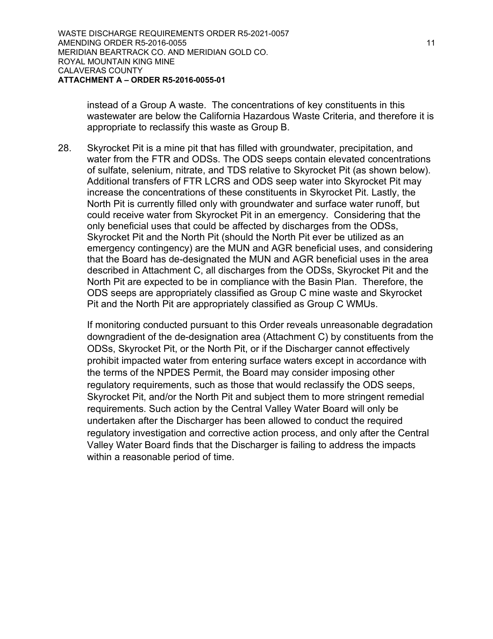instead of a Group A waste. The concentrations of key constituents in this wastewater are below the California Hazardous Waste Criteria, and therefore it is appropriate to reclassify this waste as Group B.

28. Skyrocket Pit is a mine pit that has filled with groundwater, precipitation, and water from the FTR and ODSs. The ODS seeps contain elevated concentrations of sulfate, selenium, nitrate, and TDS relative to Skyrocket Pit (as shown below). Additional transfers of FTR LCRS and ODS seep water into Skyrocket Pit may increase the concentrations of these constituents in Skyrocket Pit. Lastly, the North Pit is currently filled only with groundwater and surface water runoff, but could receive water from Skyrocket Pit in an emergency. Considering that the only beneficial uses that could be affected by discharges from the ODSs, Skyrocket Pit and the North Pit (should the North Pit ever be utilized as an emergency contingency) are the MUN and AGR beneficial uses, and considering that the Board has de-designated the MUN and AGR beneficial uses in the area described in Attachment C, all discharges from the ODSs, Skyrocket Pit and the North Pit are expected to be in compliance with the Basin Plan. Therefore, the ODS seeps are appropriately classified as Group C mine waste and Skyrocket Pit and the North Pit are appropriately classified as Group C WMUs.

If monitoring conducted pursuant to this Order reveals unreasonable degradation downgradient of the de-designation area (Attachment C) by constituents from the ODSs, Skyrocket Pit, or the North Pit, or if the Discharger cannot effectively prohibit impacted water from entering surface waters except in accordance with the terms of the NPDES Permit, the Board may consider imposing other regulatory requirements, such as those that would reclassify the ODS seeps, Skyrocket Pit, and/or the North Pit and subject them to more stringent remedial requirements. Such action by the Central Valley Water Board will only be undertaken after the Discharger has been allowed to conduct the required regulatory investigation and corrective action process, and only after the Central Valley Water Board finds that the Discharger is failing to address the impacts within a reasonable period of time.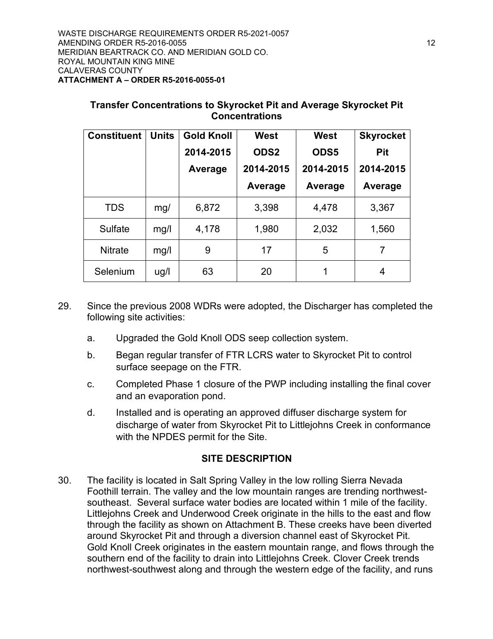| <b>Constituent</b> | <b>Units</b> | <b>Gold Knoll</b> | <b>West</b>      | West      | <b>Skyrocket</b> |
|--------------------|--------------|-------------------|------------------|-----------|------------------|
|                    |              | 2014-2015         | ODS <sub>2</sub> | ODS5      | <b>Pit</b>       |
|                    |              | Average           | 2014-2015        | 2014-2015 | 2014-2015        |
|                    |              |                   | Average          | Average   | Average          |
| <b>TDS</b>         | mg/          | 6,872             | 3,398            | 4,478     | 3,367            |
| <b>Sulfate</b>     | mg/l         | 4,178             | 1,980            | 2,032     | 1,560            |
| <b>Nitrate</b>     | mg/l         | 9                 | 17               | 5         | 7                |
| Selenium           | ug/l         | 63                | 20               | 1         | 4                |

#### **Transfer Concentrations to Skyrocket Pit and Average Skyrocket Pit Concentrations**

- 29. Since the previous 2008 WDRs were adopted, the Discharger has completed the following site activities:
	- a. Upgraded the Gold Knoll ODS seep collection system.
	- b. Began regular transfer of FTR LCRS water to Skyrocket Pit to control surface seepage on the FTR.
	- c. Completed Phase 1 closure of the PWP including installing the final cover and an evaporation pond.
	- d. Installed and is operating an approved diffuser discharge system for discharge of water from Skyrocket Pit to Littlejohns Creek in conformance with the NPDES permit for the Site.

## **SITE DESCRIPTION**

30. The facility is located in Salt Spring Valley in the low rolling Sierra Nevada Foothill terrain. The valley and the low mountain ranges are trending northwestsoutheast. Several surface water bodies are located within 1 mile of the facility. Littlejohns Creek and Underwood Creek originate in the hills to the east and flow through the facility as shown on Attachment B. These creeks have been diverted around Skyrocket Pit and through a diversion channel east of Skyrocket Pit. Gold Knoll Creek originates in the eastern mountain range, and flows through the southern end of the facility to drain into Littlejohns Creek. Clover Creek trends northwest-southwest along and through the western edge of the facility, and runs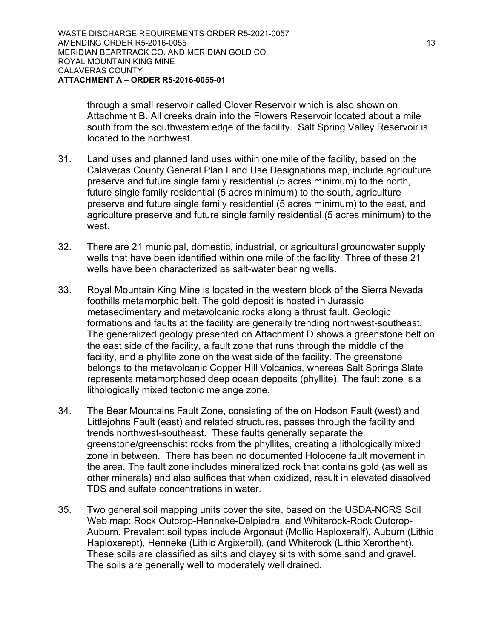through a small reservoir called Clover Reservoir which is also shown on Attachment B. All creeks drain into the Flowers Reservoir located about a mile south from the southwestern edge of the facility. Salt Spring Valley Reservoir is located to the northwest.

- 31. Land uses and planned land uses within one mile of the facility, based on the Calaveras County General Plan Land Use Designations map, include agriculture preserve and future single family residential (5 acres minimum) to the north, future single family residential (5 acres minimum) to the south, agriculture preserve and future single family residential (5 acres minimum) to the east, and agriculture preserve and future single family residential (5 acres minimum) to the west.
- 32. There are 21 municipal, domestic, industrial, or agricultural groundwater supply wells that have been identified within one mile of the facility. Three of these 21 wells have been characterized as salt-water bearing wells.
- 33. Royal Mountain King Mine is located in the western block of the Sierra Nevada foothills metamorphic belt. The gold deposit is hosted in Jurassic metasedimentary and metavolcanic rocks along a thrust fault. Geologic formations and faults at the facility are generally trending northwest-southeast. The generalized geology presented on Attachment D shows a greenstone belt on the east side of the facility, a fault zone that runs through the middle of the facility, and a phyllite zone on the west side of the facility. The greenstone belongs to the metavolcanic Copper Hill Volcanics, whereas Salt Springs Slate represents metamorphosed deep ocean deposits (phyllite). The fault zone is a lithologically mixed tectonic melange zone.
- 34. The Bear Mountains Fault Zone, consisting of the on Hodson Fault (west) and Littlejohns Fault (east) and related structures, passes through the facility and trends northwest-southeast. These faults generally separate the greenstone/greenschist rocks from the phyllites, creating a lithologically mixed zone in between. There has been no documented Holocene fault movement in the area. The fault zone includes mineralized rock that contains gold (as well as other minerals) and also sulfides that when oxidized, result in elevated dissolved TDS and sulfate concentrations in water.
- 35. Two general soil mapping units cover the site, based on the USDA-NCRS Soil Web map: Rock Outcrop-Henneke-Delpiedra, and Whiterock-Rock Outcrop-Auburn. Prevalent soil types include Argonaut (Mollic Haploxeralf), Auburn (Lithic Haploxerept), Henneke (Lithic Argixeroll), (and Whiterock (Lithic Xerorthent). These soils are classified as silts and clayey silts with some sand and gravel. The soils are generally well to moderately well drained.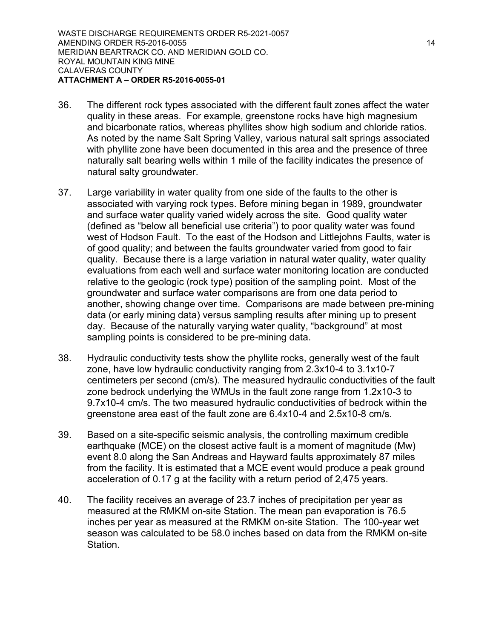WASTE DISCHARGE REQUIREMENTS ORDER R5-2021-0057 AMENDING ORDER R5-2016-0055 14 and 20 and 20 and 20 and 20 and 20 and 20 and 20 and 20 and 20 and 20 and 20 an MERIDIAN BEARTRACK CO. AND MERIDIAN GOLD CO. ROYAL MOUNTAIN KING MINE CALAVERAS COUNTY **ATTACHMENT A – ORDER R5-2016-0055-01**

- 36. The different rock types associated with the different fault zones affect the water quality in these areas. For example, greenstone rocks have high magnesium and bicarbonate ratios, whereas phyllites show high sodium and chloride ratios. As noted by the name Salt Spring Valley, various natural salt springs associated with phyllite zone have been documented in this area and the presence of three naturally salt bearing wells within 1 mile of the facility indicates the presence of natural salty groundwater.
- 37. Large variability in water quality from one side of the faults to the other is associated with varying rock types. Before mining began in 1989, groundwater and surface water quality varied widely across the site. Good quality water (defined as "below all beneficial use criteria") to poor quality water was found west of Hodson Fault. To the east of the Hodson and Littlejohns Faults, water is of good quality; and between the faults groundwater varied from good to fair quality. Because there is a large variation in natural water quality, water quality evaluations from each well and surface water monitoring location are conducted relative to the geologic (rock type) position of the sampling point. Most of the groundwater and surface water comparisons are from one data period to another, showing change over time. Comparisons are made between pre-mining data (or early mining data) versus sampling results after mining up to present day. Because of the naturally varying water quality, "background" at most sampling points is considered to be pre-mining data.
- 38. Hydraulic conductivity tests show the phyllite rocks, generally west of the fault zone, have low hydraulic conductivity ranging from 2.3x10-4 to 3.1x10-7 centimeters per second (cm/s). The measured hydraulic conductivities of the fault zone bedrock underlying the WMUs in the fault zone range from 1.2x10-3 to 9.7x10-4 cm/s. The two measured hydraulic conductivities of bedrock within the greenstone area east of the fault zone are 6.4x10-4 and 2.5x10-8 cm/s.
- 39. Based on a site-specific seismic analysis, the controlling maximum credible earthquake (MCE) on the closest active fault is a moment of magnitude (Mw) event 8.0 along the San Andreas and Hayward faults approximately 87 miles from the facility. It is estimated that a MCE event would produce a peak ground acceleration of 0.17 g at the facility with a return period of 2,475 years.
- 40. The facility receives an average of 23.7 inches of precipitation per year as measured at the RMKM on-site Station. The mean pan evaporation is 76.5 inches per year as measured at the RMKM on-site Station. The 100-year wet season was calculated to be 58.0 inches based on data from the RMKM on-site Station.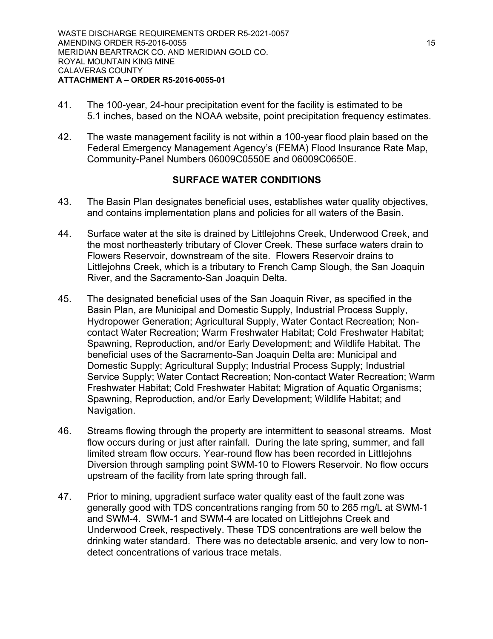- 41. The 100-year, 24-hour precipitation event for the facility is estimated to be 5.1 inches, based on the NOAA website, point precipitation frequency estimates.
- 42. The waste management facility is not within a 100-year flood plain based on the Federal Emergency Management Agency's (FEMA) Flood Insurance Rate Map, Community-Panel Numbers 06009C0550E and 06009C0650E.

## **SURFACE WATER CONDITIONS**

- 43. The Basin Plan designates beneficial uses, establishes water quality objectives, and contains implementation plans and policies for all waters of the Basin.
- 44. Surface water at the site is drained by Littlejohns Creek, Underwood Creek, and the most northeasterly tributary of Clover Creek. These surface waters drain to Flowers Reservoir, downstream of the site. Flowers Reservoir drains to Littlejohns Creek, which is a tributary to French Camp Slough, the San Joaquin River, and the Sacramento-San Joaquin Delta.
- 45. The designated beneficial uses of the San Joaquin River, as specified in the Basin Plan, are Municipal and Domestic Supply, Industrial Process Supply, Hydropower Generation; Agricultural Supply, Water Contact Recreation; Noncontact Water Recreation; Warm Freshwater Habitat; Cold Freshwater Habitat; Spawning, Reproduction, and/or Early Development; and Wildlife Habitat. The beneficial uses of the Sacramento-San Joaquin Delta are: Municipal and Domestic Supply; Agricultural Supply; Industrial Process Supply; Industrial Service Supply; Water Contact Recreation; Non-contact Water Recreation; Warm Freshwater Habitat; Cold Freshwater Habitat; Migration of Aquatic Organisms; Spawning, Reproduction, and/or Early Development; Wildlife Habitat; and Navigation.
- 46. Streams flowing through the property are intermittent to seasonal streams. Most flow occurs during or just after rainfall. During the late spring, summer, and fall limited stream flow occurs. Year-round flow has been recorded in Littlejohns Diversion through sampling point SWM-10 to Flowers Reservoir. No flow occurs upstream of the facility from late spring through fall.
- 47. Prior to mining, upgradient surface water quality east of the fault zone was generally good with TDS concentrations ranging from 50 to 265 mg/L at SWM-1 and SWM-4. SWM-1 and SWM-4 are located on Littlejohns Creek and Underwood Creek, respectively. These TDS concentrations are well below the drinking water standard. There was no detectable arsenic, and very low to nondetect concentrations of various trace metals.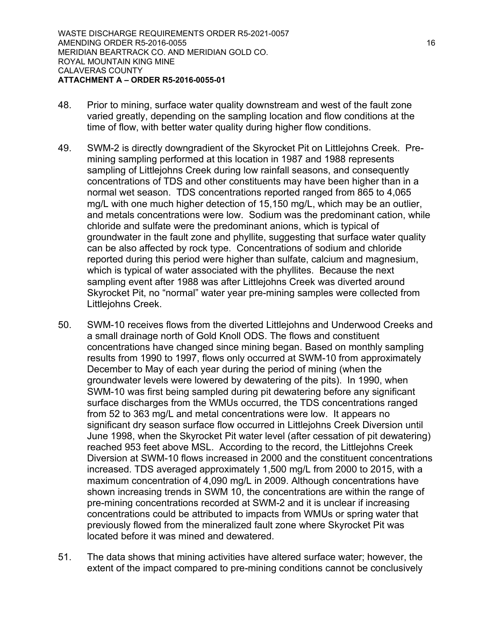- 48. Prior to mining, surface water quality downstream and west of the fault zone varied greatly, depending on the sampling location and flow conditions at the time of flow, with better water quality during higher flow conditions.
- 49. SWM-2 is directly downgradient of the Skyrocket Pit on Littlejohns Creek. Premining sampling performed at this location in 1987 and 1988 represents sampling of Littlejohns Creek during low rainfall seasons, and consequently concentrations of TDS and other constituents may have been higher than in a normal wet season. TDS concentrations reported ranged from 865 to 4,065 mg/L with one much higher detection of 15,150 mg/L, which may be an outlier, and metals concentrations were low. Sodium was the predominant cation, while chloride and sulfate were the predominant anions, which is typical of groundwater in the fault zone and phyllite, suggesting that surface water quality can be also affected by rock type. Concentrations of sodium and chloride reported during this period were higher than sulfate, calcium and magnesium, which is typical of water associated with the phyllites. Because the next sampling event after 1988 was after Littlejohns Creek was diverted around Skyrocket Pit, no "normal" water year pre-mining samples were collected from Littlejohns Creek.
- 50. SWM-10 receives flows from the diverted Littlejohns and Underwood Creeks and a small drainage north of Gold Knoll ODS. The flows and constituent concentrations have changed since mining began. Based on monthly sampling results from 1990 to 1997, flows only occurred at SWM-10 from approximately December to May of each year during the period of mining (when the groundwater levels were lowered by dewatering of the pits). In 1990, when SWM-10 was first being sampled during pit dewatering before any significant surface discharges from the WMUs occurred, the TDS concentrations ranged from 52 to 363 mg/L and metal concentrations were low. It appears no significant dry season surface flow occurred in Littlejohns Creek Diversion until June 1998, when the Skyrocket Pit water level (after cessation of pit dewatering) reached 953 feet above MSL. According to the record, the Littlejohns Creek Diversion at SWM-10 flows increased in 2000 and the constituent concentrations increased. TDS averaged approximately 1,500 mg/L from 2000 to 2015, with a maximum concentration of 4,090 mg/L in 2009. Although concentrations have shown increasing trends in SWM 10, the concentrations are within the range of pre-mining concentrations recorded at SWM-2 and it is unclear if increasing concentrations could be attributed to impacts from WMUs or spring water that previously flowed from the mineralized fault zone where Skyrocket Pit was located before it was mined and dewatered.
- 51. The data shows that mining activities have altered surface water; however, the extent of the impact compared to pre-mining conditions cannot be conclusively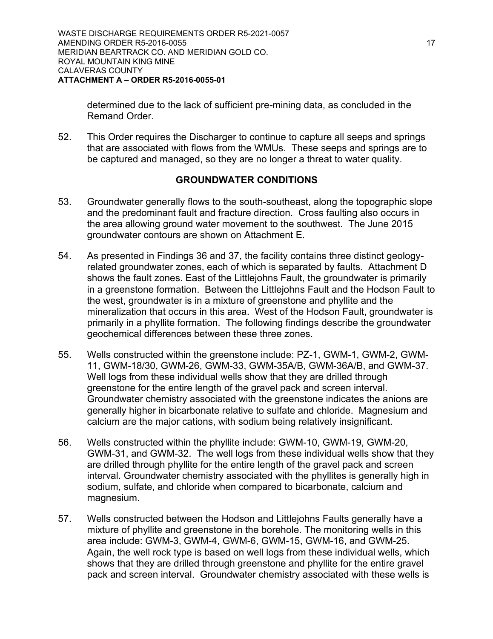determined due to the lack of sufficient pre-mining data, as concluded in the Remand Order.

52. This Order requires the Discharger to continue to capture all seeps and springs that are associated with flows from the WMUs. These seeps and springs are to be captured and managed, so they are no longer a threat to water quality.

#### **GROUNDWATER CONDITIONS**

- 53. Groundwater generally flows to the south-southeast, along the topographic slope and the predominant fault and fracture direction. Cross faulting also occurs in the area allowing ground water movement to the southwest. The June 2015 groundwater contours are shown on Attachment E.
- 54. As presented in Findings 36 and 37, the facility contains three distinct geologyrelated groundwater zones, each of which is separated by faults. Attachment D shows the fault zones. East of the Littlejohns Fault, the groundwater is primarily in a greenstone formation. Between the Littlejohns Fault and the Hodson Fault to the west, groundwater is in a mixture of greenstone and phyllite and the mineralization that occurs in this area. West of the Hodson Fault, groundwater is primarily in a phyllite formation. The following findings describe the groundwater geochemical differences between these three zones.
- 55. Wells constructed within the greenstone include: PZ-1, GWM-1, GWM-2, GWM-11, GWM-18/30, GWM-26, GWM-33, GWM-35A/B, GWM-36A/B, and GWM-37. Well logs from these individual wells show that they are drilled through greenstone for the entire length of the gravel pack and screen interval. Groundwater chemistry associated with the greenstone indicates the anions are generally higher in bicarbonate relative to sulfate and chloride. Magnesium and calcium are the major cations, with sodium being relatively insignificant.
- 56. Wells constructed within the phyllite include: GWM-10, GWM-19, GWM-20, GWM-31, and GWM-32. The well logs from these individual wells show that they are drilled through phyllite for the entire length of the gravel pack and screen interval. Groundwater chemistry associated with the phyllites is generally high in sodium, sulfate, and chloride when compared to bicarbonate, calcium and magnesium.
- 57. Wells constructed between the Hodson and Littlejohns Faults generally have a mixture of phyllite and greenstone in the borehole. The monitoring wells in this area include: GWM-3, GWM-4, GWM-6, GWM-15, GWM-16, and GWM-25. Again, the well rock type is based on well logs from these individual wells, which shows that they are drilled through greenstone and phyllite for the entire gravel pack and screen interval. Groundwater chemistry associated with these wells is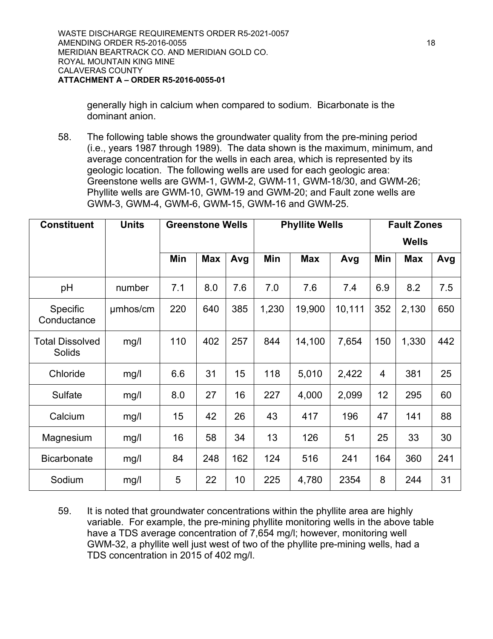generally high in calcium when compared to sodium. Bicarbonate is the dominant anion.

58. The following table shows the groundwater quality from the pre-mining period (i.e., years 1987 through 1989). The data shown is the maximum, minimum, and average concentration for the wells in each area, which is represented by its geologic location. The following wells are used for each geologic area: Greenstone wells are GWM-1, GWM-2, GWM-11, GWM-18/30, and GWM-26; Phyllite wells are GWM-10, GWM-19 and GWM-20; and Fault zone wells are GWM-3, GWM-4, GWM-6, GWM-15, GWM-16 and GWM-25.

| <b>Constituent</b>                      | <b>Units</b> | <b>Greenstone Wells</b> |            | <b>Phyllite Wells</b> |       |            | <b>Fault Zones</b> |     |            |     |
|-----------------------------------------|--------------|-------------------------|------------|-----------------------|-------|------------|--------------------|-----|------------|-----|
|                                         |              |                         |            |                       |       |            | <b>Wells</b>       |     |            |     |
|                                         |              | Min                     | <b>Max</b> | Avg                   | Min   | <b>Max</b> | Avg                | Min | <b>Max</b> | Avg |
| pH                                      | number       | 7.1                     | 8.0        | 7.6                   | 7.0   | 7.6        | 7.4                | 6.9 | 8.2        | 7.5 |
| Specific<br>Conductance                 | umhos/cm     | 220                     | 640        | 385                   | 1,230 | 19,900     | 10,111             | 352 | 2,130      | 650 |
| <b>Total Dissolved</b><br><b>Solids</b> | mg/l         | 110                     | 402        | 257                   | 844   | 14,100     | 7,654              | 150 | 1,330      | 442 |
| Chloride                                | mg/l         | 6.6                     | 31         | 15                    | 118   | 5,010      | 2,422              | 4   | 381        | 25  |
| <b>Sulfate</b>                          | mg/l         | 8.0                     | 27         | 16                    | 227   | 4,000      | 2,099              | 12  | 295        | 60  |
| Calcium                                 | mg/l         | 15                      | 42         | 26                    | 43    | 417        | 196                | 47  | 141        | 88  |
| Magnesium                               | mg/l         | 16                      | 58         | 34                    | 13    | 126        | 51                 | 25  | 33         | 30  |
| <b>Bicarbonate</b>                      | mg/l         | 84                      | 248        | 162                   | 124   | 516        | 241                | 164 | 360        | 241 |
| Sodium                                  | mg/l         | 5                       | 22         | 10                    | 225   | 4,780      | 2354               | 8   | 244        | 31  |

59. It is noted that groundwater concentrations within the phyllite area are highly variable. For example, the pre-mining phyllite monitoring wells in the above table have a TDS average concentration of 7,654 mg/l; however, monitoring well GWM-32, a phyllite well just west of two of the phyllite pre-mining wells, had a TDS concentration in 2015 of 402 mg/l.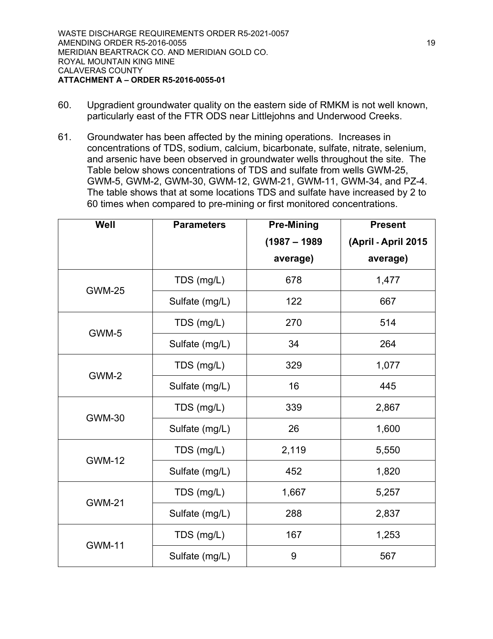- 60. Upgradient groundwater quality on the eastern side of RMKM is not well known, particularly east of the FTR ODS near Littlejohns and Underwood Creeks.
- 61. Groundwater has been affected by the mining operations. Increases in concentrations of TDS, sodium, calcium, bicarbonate, sulfate, nitrate, selenium, and arsenic have been observed in groundwater wells throughout the site. The Table below shows concentrations of TDS and sulfate from wells GWM-25, GWM-5, GWM-2, GWM-30, GWM-12, GWM-21, GWM-11, GWM-34, and PZ-4. The table shows that at some locations TDS and sulfate have increased by 2 to 60 times when compared to pre-mining or first monitored concentrations.

| Well          | <b>Parameters</b> | <b>Pre-Mining</b> | <b>Present</b>      |
|---------------|-------------------|-------------------|---------------------|
|               |                   | $(1987 - 1989$    | (April - April 2015 |
|               |                   | average)          | average)            |
| <b>GWM-25</b> | TDS (mg/L)        | 678               | 1,477               |
|               | Sulfate (mg/L)    | 122               | 667                 |
| GWM-5         | TDS (mg/L)        | 270               | 514                 |
|               | Sulfate (mg/L)    | 34                | 264                 |
| GWM-2         | TDS (mg/L)        | 329               | 1,077               |
|               | Sulfate (mg/L)    | 16                | 445                 |
| <b>GWM-30</b> | TDS (mg/L)        | 339               | 2,867               |
|               | Sulfate (mg/L)    | 26                | 1,600               |
| <b>GWM-12</b> | TDS (mg/L)        | 2,119             | 5,550               |
|               | Sulfate (mg/L)    | 452               | 1,820               |
| <b>GWM-21</b> | TDS (mg/L)        | 1,667             | 5,257               |
|               | Sulfate (mg/L)    | 288               | 2,837               |
| <b>GWM-11</b> | TDS (mg/L)        | 167               | 1,253               |
|               | Sulfate (mg/L)    | 9                 | 567                 |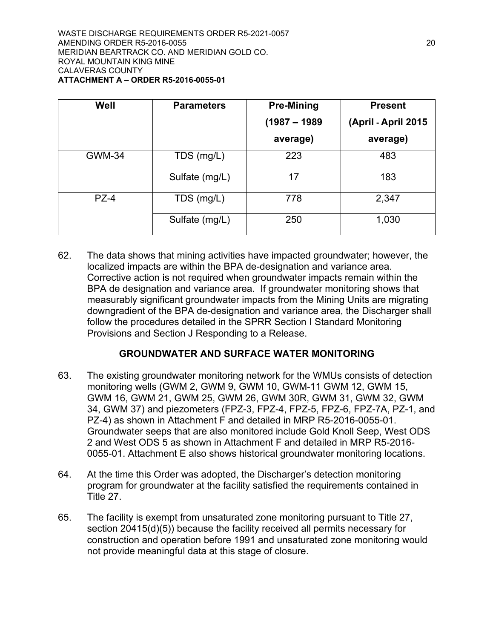| Well          | <b>Parameters</b> | <b>Pre-Mining</b> | <b>Present</b>      |
|---------------|-------------------|-------------------|---------------------|
|               |                   | $(1987 - 1989$    | (April - April 2015 |
|               |                   | average)          | average)            |
| <b>GWM-34</b> | TDS (mg/L)        | 223               | 483                 |
|               | Sulfate (mg/L)    | 17                | 183                 |
| $PZ-4$        | TDS (mg/L)        | 778               | 2,347               |
|               | Sulfate (mg/L)    | 250               | 1,030               |

62. The data shows that mining activities have impacted groundwater; however, the localized impacts are within the BPA de-designation and variance area. Corrective action is not required when groundwater impacts remain within the BPA de designation and variance area. If groundwater monitoring shows that measurably significant groundwater impacts from the Mining Units are migrating downgradient of the BPA de-designation and variance area, the Discharger shall follow the procedures detailed in the SPRR Section I Standard Monitoring Provisions and Section J Responding to a Release.

## **GROUNDWATER AND SURFACE WATER MONITORING**

- 63. The existing groundwater monitoring network for the WMUs consists of detection monitoring wells (GWM 2, GWM 9, GWM 10, GWM-11 GWM 12, GWM 15, GWM 16, GWM 21, GWM 25, GWM 26, GWM 30R, GWM 31, GWM 32, GWM 34, GWM 37) and piezometers (FPZ-3, FPZ-4, FPZ-5, FPZ-6, FPZ-7A, PZ-1, and PZ-4) as shown in Attachment F and detailed in MRP R5-2016-0055-01. Groundwater seeps that are also monitored include Gold Knoll Seep, West ODS 2 and West ODS 5 as shown in Attachment F and detailed in MRP R5-2016- 0055-01. Attachment E also shows historical groundwater monitoring locations.
- 64. At the time this Order was adopted, the Discharger's detection monitoring program for groundwater at the facility satisfied the requirements contained in Title 27.
- 65. The facility is exempt from unsaturated zone monitoring pursuant to Title 27, section 20415(d)(5)) because the facility received all permits necessary for construction and operation before 1991 and unsaturated zone monitoring would not provide meaningful data at this stage of closure.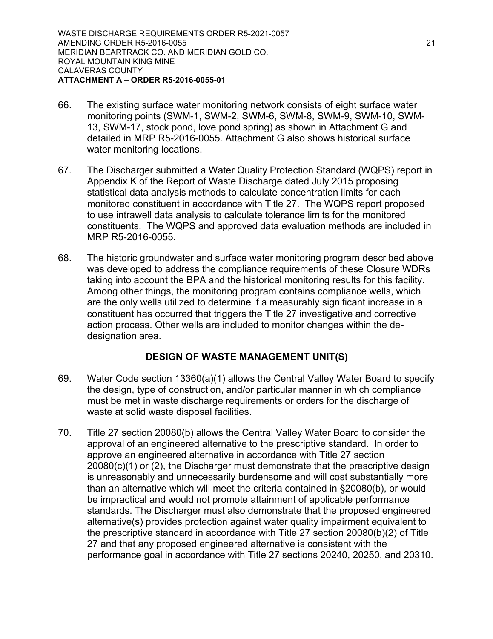- 66. The existing surface water monitoring network consists of eight surface water monitoring points (SWM-1, SWM-2, SWM-6, SWM-8, SWM-9, SWM-10, SWM-13, SWM-17, stock pond, love pond spring) as shown in Attachment G and detailed in MRP R5-2016-0055. Attachment G also shows historical surface water monitoring locations.
- 67. The Discharger submitted a Water Quality Protection Standard (WQPS) report in Appendix K of the Report of Waste Discharge dated July 2015 proposing statistical data analysis methods to calculate concentration limits for each monitored constituent in accordance with Title 27. The WQPS report proposed to use intrawell data analysis to calculate tolerance limits for the monitored constituents. The WQPS and approved data evaluation methods are included in MRP R5-2016-0055.
- 68. The historic groundwater and surface water monitoring program described above was developed to address the compliance requirements of these Closure WDRs taking into account the BPA and the historical monitoring results for this facility. Among other things, the monitoring program contains compliance wells, which are the only wells utilized to determine if a measurably significant increase in a constituent has occurred that triggers the Title 27 investigative and corrective action process. Other wells are included to monitor changes within the dedesignation area.

## **DESIGN OF WASTE MANAGEMENT UNIT(S)**

- 69. Water Code section 13360(a)(1) allows the Central Valley Water Board to specify the design, type of construction, and/or particular manner in which compliance must be met in waste discharge requirements or orders for the discharge of waste at solid waste disposal facilities.
- 70. Title 27 section 20080(b) allows the Central Valley Water Board to consider the approval of an engineered alternative to the prescriptive standard. In order to approve an engineered alternative in accordance with Title 27 section 20080(c)(1) or (2), the Discharger must demonstrate that the prescriptive design is unreasonably and unnecessarily burdensome and will cost substantially more than an alternative which will meet the criteria contained in §20080(b), or would be impractical and would not promote attainment of applicable performance standards. The Discharger must also demonstrate that the proposed engineered alternative(s) provides protection against water quality impairment equivalent to the prescriptive standard in accordance with Title 27 section 20080(b)(2) of Title 27 and that any proposed engineered alternative is consistent with the performance goal in accordance with Title 27 sections 20240, 20250, and 20310.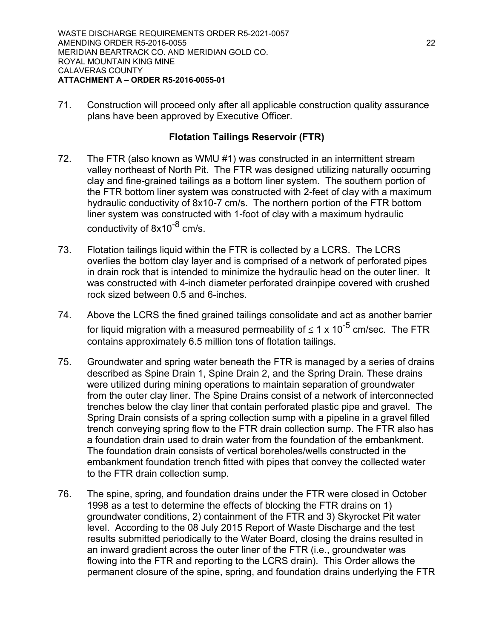71. Construction will proceed only after all applicable construction quality assurance plans have been approved by Executive Officer.

#### **Flotation Tailings Reservoir (FTR)**

- 72. The FTR (also known as WMU #1) was constructed in an intermittent stream valley northeast of North Pit. The FTR was designed utilizing naturally occurring clay and fine-grained tailings as a bottom liner system. The southern portion of the FTR bottom liner system was constructed with 2-feet of clay with a maximum hydraulic conductivity of 8x10-7 cm/s. The northern portion of the FTR bottom liner system was constructed with 1-foot of clay with a maximum hydraulic conductivity of 8x10<sup>-8</sup> cm/s.
- 73. Flotation tailings liquid within the FTR is collected by a LCRS. The LCRS overlies the bottom clay layer and is comprised of a network of perforated pipes in drain rock that is intended to minimize the hydraulic head on the outer liner. It was constructed with 4-inch diameter perforated drainpipe covered with crushed rock sized between 0.5 and 6-inches.
- 74. Above the LCRS the fined grained tailings consolidate and act as another barrier for liquid migration with a measured permeability of  $\leq$  1 x 10<sup>-5</sup> cm/sec. The FTR contains approximately 6.5 million tons of flotation tailings.
- 75. Groundwater and spring water beneath the FTR is managed by a series of drains described as Spine Drain 1, Spine Drain 2, and the Spring Drain. These drains were utilized during mining operations to maintain separation of groundwater from the outer clay liner. The Spine Drains consist of a network of interconnected trenches below the clay liner that contain perforated plastic pipe and gravel. The Spring Drain consists of a spring collection sump with a pipeline in a gravel filled trench conveying spring flow to the FTR drain collection sump. The FTR also has a foundation drain used to drain water from the foundation of the embankment. The foundation drain consists of vertical boreholes/wells constructed in the embankment foundation trench fitted with pipes that convey the collected water to the FTR drain collection sump.
- 76. The spine, spring, and foundation drains under the FTR were closed in October 1998 as a test to determine the effects of blocking the FTR drains on 1) groundwater conditions, 2) containment of the FTR and 3) Skyrocket Pit water level. According to the 08 July 2015 Report of Waste Discharge and the test results submitted periodically to the Water Board, closing the drains resulted in an inward gradient across the outer liner of the FTR (i.e., groundwater was flowing into the FTR and reporting to the LCRS drain). This Order allows the permanent closure of the spine, spring, and foundation drains underlying the FTR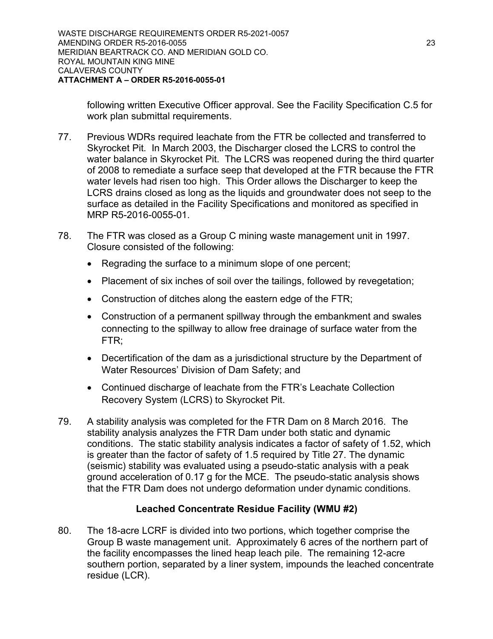following written Executive Officer approval. See the Facility Specification C.5 for work plan submittal requirements.

- 77. Previous WDRs required leachate from the FTR be collected and transferred to Skyrocket Pit. In March 2003, the Discharger closed the LCRS to control the water balance in Skyrocket Pit. The LCRS was reopened during the third quarter of 2008 to remediate a surface seep that developed at the FTR because the FTR water levels had risen too high. This Order allows the Discharger to keep the LCRS drains closed as long as the liquids and groundwater does not seep to the surface as detailed in the Facility Specifications and monitored as specified in MRP R5-2016-0055-01.
- 78. The FTR was closed as a Group C mining waste management unit in 1997. Closure consisted of the following:
	- · Regrading the surface to a minimum slope of one percent;
	- · Placement of six inches of soil over the tailings, followed by revegetation;
	- · Construction of ditches along the eastern edge of the FTR;
	- · Construction of a permanent spillway through the embankment and swales connecting to the spillway to allow free drainage of surface water from the FTR;
	- · Decertification of the dam as a jurisdictional structure by the Department of Water Resources' Division of Dam Safety; and
	- Continued discharge of leachate from the FTR's Leachate Collection Recovery System (LCRS) to Skyrocket Pit.
- 79. A stability analysis was completed for the FTR Dam on 8 March 2016. The stability analysis analyzes the FTR Dam under both static and dynamic conditions. The static stability analysis indicates a factor of safety of 1.52, which is greater than the factor of safety of 1.5 required by Title 27. The dynamic (seismic) stability was evaluated using a pseudo-static analysis with a peak ground acceleration of 0.17 g for the MCE. The pseudo-static analysis shows that the FTR Dam does not undergo deformation under dynamic conditions.

# **Leached Concentrate Residue Facility (WMU #2)**

80. The 18-acre LCRF is divided into two portions, which together comprise the Group B waste management unit. Approximately 6 acres of the northern part of the facility encompasses the lined heap leach pile. The remaining 12-acre southern portion, separated by a liner system, impounds the leached concentrate residue (LCR).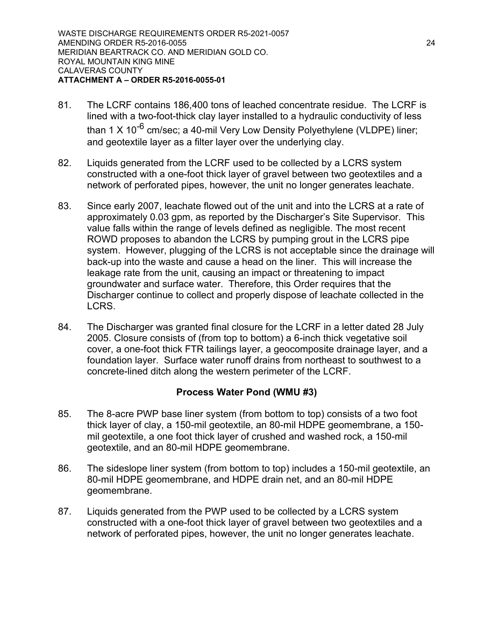- 81. The LCRF contains 186,400 tons of leached concentrate residue. The LCRF is lined with a two-foot-thick clay layer installed to a hydraulic conductivity of less than 1 X 10<sup>-6</sup> cm/sec; a 40-mil Very Low Density Polyethylene (VLDPE) liner; and geotextile layer as a filter layer over the underlying clay.
- 82. Liquids generated from the LCRF used to be collected by a LCRS system constructed with a one-foot thick layer of gravel between two geotextiles and a network of perforated pipes, however, the unit no longer generates leachate.
- 83. Since early 2007, leachate flowed out of the unit and into the LCRS at a rate of approximately 0.03 gpm, as reported by the Discharger's Site Supervisor. This value falls within the range of levels defined as negligible. The most recent ROWD proposes to abandon the LCRS by pumping grout in the LCRS pipe system. However, plugging of the LCRS is not acceptable since the drainage will back-up into the waste and cause a head on the liner. This will increase the leakage rate from the unit, causing an impact or threatening to impact groundwater and surface water. Therefore, this Order requires that the Discharger continue to collect and properly dispose of leachate collected in the LCRS.
- 84. The Discharger was granted final closure for the LCRF in a letter dated 28 July 2005. Closure consists of (from top to bottom) a 6-inch thick vegetative soil cover, a one-foot thick FTR tailings layer, a geocomposite drainage layer, and a foundation layer. Surface water runoff drains from northeast to southwest to a concrete-lined ditch along the western perimeter of the LCRF.

## **Process Water Pond (WMU #3)**

- 85. The 8-acre PWP base liner system (from bottom to top) consists of a two foot thick layer of clay, a 150-mil geotextile, an 80-mil HDPE geomembrane, a 150 mil geotextile, a one foot thick layer of crushed and washed rock, a 150-mil geotextile, and an 80-mil HDPE geomembrane.
- 86. The sideslope liner system (from bottom to top) includes a 150-mil geotextile, an 80-mil HDPE geomembrane, and HDPE drain net, and an 80-mil HDPE geomembrane.
- 87. Liquids generated from the PWP used to be collected by a LCRS system constructed with a one-foot thick layer of gravel between two geotextiles and a network of perforated pipes, however, the unit no longer generates leachate.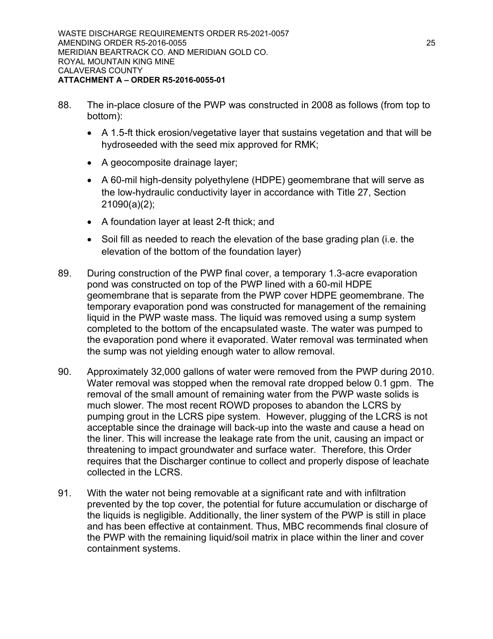- 88. The in-place closure of the PWP was constructed in 2008 as follows (from top to bottom):
	- · A 1.5-ft thick erosion/vegetative layer that sustains vegetation and that will be hydroseeded with the seed mix approved for RMK;
	- · A geocomposite drainage layer;
	- A 60-mil high-density polyethylene (HDPE) geomembrane that will serve as the low-hydraulic conductivity layer in accordance with Title 27, Section 21090(a)(2);
	- · A foundation layer at least 2-ft thick; and
	- · Soil fill as needed to reach the elevation of the base grading plan (i.e. the elevation of the bottom of the foundation layer)
- 89. During construction of the PWP final cover, a temporary 1.3-acre evaporation pond was constructed on top of the PWP lined with a 60-mil HDPE geomembrane that is separate from the PWP cover HDPE geomembrane. The temporary evaporation pond was constructed for management of the remaining liquid in the PWP waste mass. The liquid was removed using a sump system completed to the bottom of the encapsulated waste. The water was pumped to the evaporation pond where it evaporated. Water removal was terminated when the sump was not yielding enough water to allow removal.
- 90. Approximately 32,000 gallons of water were removed from the PWP during 2010. Water removal was stopped when the removal rate dropped below 0.1 gpm. The removal of the small amount of remaining water from the PWP waste solids is much slower. The most recent ROWD proposes to abandon the LCRS by pumping grout in the LCRS pipe system. However, plugging of the LCRS is not acceptable since the drainage will back-up into the waste and cause a head on the liner. This will increase the leakage rate from the unit, causing an impact or threatening to impact groundwater and surface water. Therefore, this Order requires that the Discharger continue to collect and properly dispose of leachate collected in the LCRS.
- 91. With the water not being removable at a significant rate and with infiltration prevented by the top cover, the potential for future accumulation or discharge of the liquids is negligible. Additionally, the liner system of the PWP is still in place and has been effective at containment. Thus, MBC recommends final closure of the PWP with the remaining liquid/soil matrix in place within the liner and cover containment systems.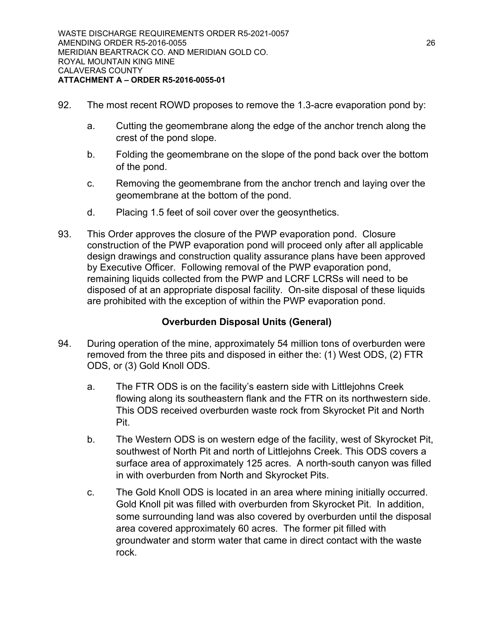- 92. The most recent ROWD proposes to remove the 1.3-acre evaporation pond by:
	- a. Cutting the geomembrane along the edge of the anchor trench along the crest of the pond slope.
	- b. Folding the geomembrane on the slope of the pond back over the bottom of the pond.
	- c. Removing the geomembrane from the anchor trench and laying over the geomembrane at the bottom of the pond.
	- d. Placing 1.5 feet of soil cover over the geosynthetics.
- 93. This Order approves the closure of the PWP evaporation pond. Closure construction of the PWP evaporation pond will proceed only after all applicable design drawings and construction quality assurance plans have been approved by Executive Officer. Following removal of the PWP evaporation pond, remaining liquids collected from the PWP and LCRF LCRSs will need to be disposed of at an appropriate disposal facility. On-site disposal of these liquids are prohibited with the exception of within the PWP evaporation pond.

# **Overburden Disposal Units (General)**

- 94. During operation of the mine, approximately 54 million tons of overburden were removed from the three pits and disposed in either the: (1) West ODS, (2) FTR ODS, or (3) Gold Knoll ODS.
	- a. The FTR ODS is on the facility's eastern side with Littlejohns Creek flowing along its southeastern flank and the FTR on its northwestern side. This ODS received overburden waste rock from Skyrocket Pit and North Pit.
	- b. The Western ODS is on western edge of the facility, west of Skyrocket Pit, southwest of North Pit and north of Littlejohns Creek. This ODS covers a surface area of approximately 125 acres. A north-south canyon was filled in with overburden from North and Skyrocket Pits.
	- c. The Gold Knoll ODS is located in an area where mining initially occurred. Gold Knoll pit was filled with overburden from Skyrocket Pit. In addition, some surrounding land was also covered by overburden until the disposal area covered approximately 60 acres. The former pit filled with groundwater and storm water that came in direct contact with the waste rock.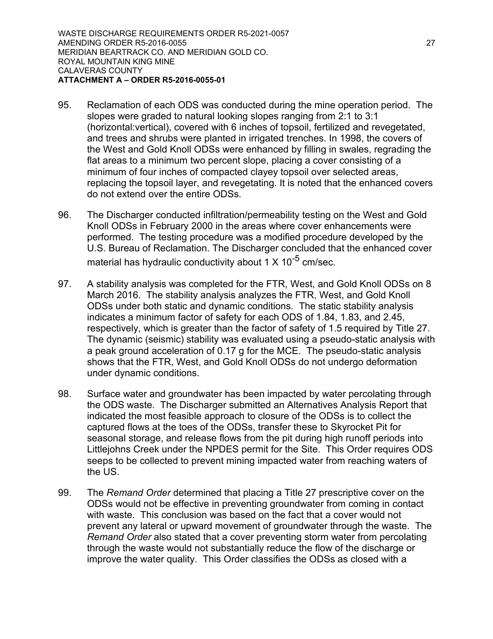- 95. Reclamation of each ODS was conducted during the mine operation period. The slopes were graded to natural looking slopes ranging from 2:1 to 3:1 (horizontal:vertical), covered with 6 inches of topsoil, fertilized and revegetated, and trees and shrubs were planted in irrigated trenches. In 1998, the covers of the West and Gold Knoll ODSs were enhanced by filling in swales, regrading the flat areas to a minimum two percent slope, placing a cover consisting of a minimum of four inches of compacted clayey topsoil over selected areas, replacing the topsoil layer, and revegetating. It is noted that the enhanced covers do not extend over the entire ODSs.
- 96. The Discharger conducted infiltration/permeability testing on the West and Gold Knoll ODSs in February 2000 in the areas where cover enhancements were performed. The testing procedure was a modified procedure developed by the U.S. Bureau of Reclamation. The Discharger concluded that the enhanced cover material has hydraulic conductivity about 1 X 10<sup>-5</sup> cm/sec.
- 97. A stability analysis was completed for the FTR, West, and Gold Knoll ODSs on 8 March 2016. The stability analysis analyzes the FTR, West, and Gold Knoll ODSs under both static and dynamic conditions. The static stability analysis indicates a minimum factor of safety for each ODS of 1.84, 1.83, and 2.45, respectively, which is greater than the factor of safety of 1.5 required by Title 27. The dynamic (seismic) stability was evaluated using a pseudo-static analysis with a peak ground acceleration of 0.17 g for the MCE. The pseudo-static analysis shows that the FTR, West, and Gold Knoll ODSs do not undergo deformation under dynamic conditions.
- 98. Surface water and groundwater has been impacted by water percolating through the ODS waste. The Discharger submitted an Alternatives Analysis Report that indicated the most feasible approach to closure of the ODSs is to collect the captured flows at the toes of the ODSs, transfer these to Skyrocket Pit for seasonal storage, and release flows from the pit during high runoff periods into Littlejohns Creek under the NPDES permit for the Site. This Order requires ODS seeps to be collected to prevent mining impacted water from reaching waters of the US.
- 99. The *Remand Order* determined that placing a Title 27 prescriptive cover on the ODSs would not be effective in preventing groundwater from coming in contact with waste. This conclusion was based on the fact that a cover would not prevent any lateral or upward movement of groundwater through the waste. The *Remand Order* also stated that a cover preventing storm water from percolating through the waste would not substantially reduce the flow of the discharge or improve the water quality. This Order classifies the ODSs as closed with a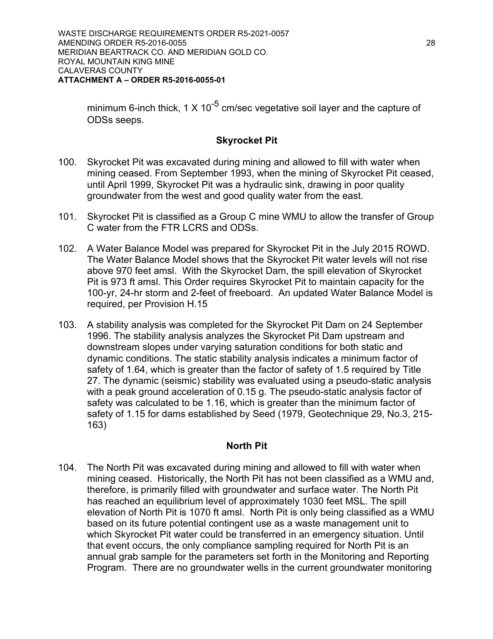minimum 6-inch thick, 1 X 10<sup>-5</sup> cm/sec vegetative soil layer and the capture of ODSs seeps.

#### **Skyrocket Pit**

- 100. Skyrocket Pit was excavated during mining and allowed to fill with water when mining ceased. From September 1993, when the mining of Skyrocket Pit ceased, until April 1999, Skyrocket Pit was a hydraulic sink, drawing in poor quality groundwater from the west and good quality water from the east.
- 101. Skyrocket Pit is classified as a Group C mine WMU to allow the transfer of Group C water from the FTR LCRS and ODSs.
- 102. A Water Balance Model was prepared for Skyrocket Pit in the July 2015 ROWD. The Water Balance Model shows that the Skyrocket Pit water levels will not rise above 970 feet amsl. With the Skyrocket Dam, the spill elevation of Skyrocket Pit is 973 ft amsl. This Order requires Skyrocket Pit to maintain capacity for the 100-yr, 24-hr storm and 2-feet of freeboard. An updated Water Balance Model is required, per Provision H.15
- 103. A stability analysis was completed for the Skyrocket Pit Dam on 24 September 1996. The stability analysis analyzes the Skyrocket Pit Dam upstream and downstream slopes under varying saturation conditions for both static and dynamic conditions. The static stability analysis indicates a minimum factor of safety of 1.64, which is greater than the factor of safety of 1.5 required by Title 27. The dynamic (seismic) stability was evaluated using a pseudo-static analysis with a peak ground acceleration of 0.15 g. The pseudo-static analysis factor of safety was calculated to be 1.16, which is greater than the minimum factor of safety of 1.15 for dams established by Seed (1979, Geotechnique 29, No.3, 215- 163)

## **North Pit**

104. The North Pit was excavated during mining and allowed to fill with water when mining ceased. Historically, the North Pit has not been classified as a WMU and, therefore, is primarily filled with groundwater and surface water. The North Pit has reached an equilibrium level of approximately 1030 feet MSL. The spill elevation of North Pit is 1070 ft amsl. North Pit is only being classified as a WMU based on its future potential contingent use as a waste management unit to which Skyrocket Pit water could be transferred in an emergency situation. Until that event occurs, the only compliance sampling required for North Pit is an annual grab sample for the parameters set forth in the Monitoring and Reporting Program. There are no groundwater wells in the current groundwater monitoring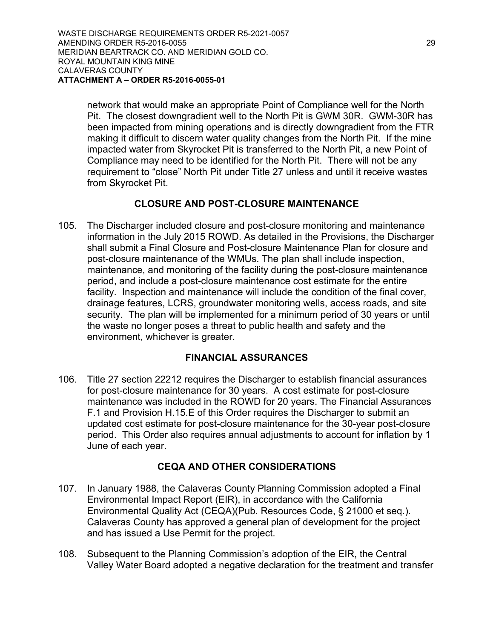network that would make an appropriate Point of Compliance well for the North Pit. The closest downgradient well to the North Pit is GWM 30R. GWM-30R has been impacted from mining operations and is directly downgradient from the FTR making it difficult to discern water quality changes from the North Pit. If the mine impacted water from Skyrocket Pit is transferred to the North Pit, a new Point of Compliance may need to be identified for the North Pit. There will not be any requirement to "close" North Pit under Title 27 unless and until it receive wastes from Skyrocket Pit.

## **CLOSURE AND POST-CLOSURE MAINTENANCE**

105. The Discharger included closure and post-closure monitoring and maintenance information in the July 2015 ROWD. As detailed in the Provisions, the Discharger shall submit a Final Closure and Post-closure Maintenance Plan for closure and post-closure maintenance of the WMUs. The plan shall include inspection, maintenance, and monitoring of the facility during the post-closure maintenance period, and include a post-closure maintenance cost estimate for the entire facility. Inspection and maintenance will include the condition of the final cover, drainage features, LCRS, groundwater monitoring wells, access roads, and site security. The plan will be implemented for a minimum period of 30 years or until the waste no longer poses a threat to public health and safety and the environment, whichever is greater.

## **FINANCIAL ASSURANCES**

106. Title 27 section 22212 requires the Discharger to establish financial assurances for post-closure maintenance for 30 years. A cost estimate for post-closure maintenance was included in the ROWD for 20 years. The Financial Assurances F.1 and Provision H.15.E of this Order requires the Discharger to submit an updated cost estimate for post-closure maintenance for the 30-year post-closure period. This Order also requires annual adjustments to account for inflation by 1 June of each year.

## **CEQA AND OTHER CONSIDERATIONS**

- 107. In January 1988, the Calaveras County Planning Commission adopted a Final Environmental Impact Report (EIR), in accordance with the California Environmental Quality Act (CEQA)(Pub. Resources Code, § 21000 et seq.). Calaveras County has approved a general plan of development for the project and has issued a Use Permit for the project.
- 108. Subsequent to the Planning Commission's adoption of the EIR, the Central Valley Water Board adopted a negative declaration for the treatment and transfer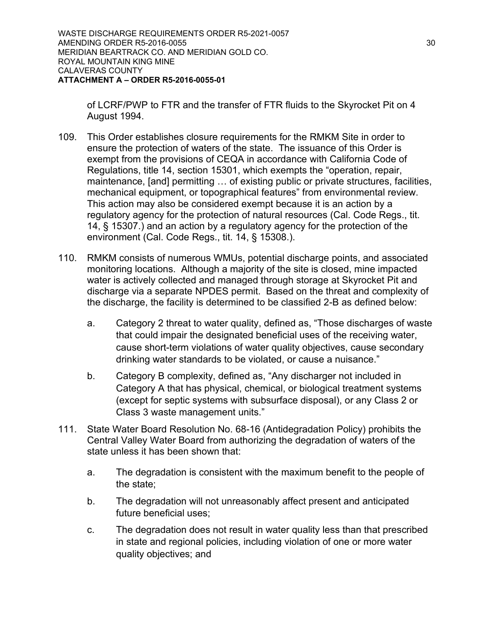of LCRF/PWP to FTR and the transfer of FTR fluids to the Skyrocket Pit on 4 August 1994.

- 109. This Order establishes closure requirements for the RMKM Site in order to ensure the protection of waters of the state. The issuance of this Order is exempt from the provisions of CEQA in accordance with California Code of Regulations, title 14, section 15301, which exempts the "operation, repair, maintenance, [and] permitting … of existing public or private structures, facilities, mechanical equipment, or topographical features" from environmental review. This action may also be considered exempt because it is an action by a regulatory agency for the protection of natural resources (Cal. Code Regs., tit. 14, § 15307.) and an action by a regulatory agency for the protection of the environment (Cal. Code Regs., tit. 14, § 15308.).
- 110. RMKM consists of numerous WMUs, potential discharge points, and associated monitoring locations. Although a majority of the site is closed, mine impacted water is actively collected and managed through storage at Skyrocket Pit and discharge via a separate NPDES permit. Based on the threat and complexity of the discharge, the facility is determined to be classified 2-B as defined below:
	- a. Category 2 threat to water quality, defined as, "Those discharges of waste that could impair the designated beneficial uses of the receiving water, cause short-term violations of water quality objectives, cause secondary drinking water standards to be violated, or cause a nuisance."
	- b. Category B complexity, defined as, "Any discharger not included in Category A that has physical, chemical, or biological treatment systems (except for septic systems with subsurface disposal), or any Class 2 or Class 3 waste management units."
- 111. State Water Board Resolution No. 68-16 (Antidegradation Policy) prohibits the Central Valley Water Board from authorizing the degradation of waters of the state unless it has been shown that:
	- a. The degradation is consistent with the maximum benefit to the people of the state;
	- b. The degradation will not unreasonably affect present and anticipated future beneficial uses;
	- c. The degradation does not result in water quality less than that prescribed in state and regional policies, including violation of one or more water quality objectives; and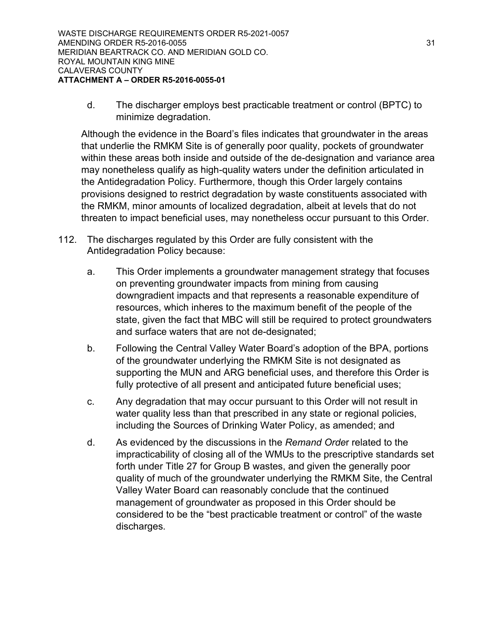d. The discharger employs best practicable treatment or control (BPTC) to minimize degradation.

Although the evidence in the Board's files indicates that groundwater in the areas that underlie the RMKM Site is of generally poor quality, pockets of groundwater within these areas both inside and outside of the de-designation and variance area may nonetheless qualify as high-quality waters under the definition articulated in the Antidegradation Policy. Furthermore, though this Order largely contains provisions designed to restrict degradation by waste constituents associated with the RMKM, minor amounts of localized degradation, albeit at levels that do not threaten to impact beneficial uses, may nonetheless occur pursuant to this Order.

- 112. The discharges regulated by this Order are fully consistent with the Antidegradation Policy because:
	- a. This Order implements a groundwater management strategy that focuses on preventing groundwater impacts from mining from causing downgradient impacts and that represents a reasonable expenditure of resources, which inheres to the maximum benefit of the people of the state, given the fact that MBC will still be required to protect groundwaters and surface waters that are not de-designated;
	- b. Following the Central Valley Water Board's adoption of the BPA, portions of the groundwater underlying the RMKM Site is not designated as supporting the MUN and ARG beneficial uses, and therefore this Order is fully protective of all present and anticipated future beneficial uses;
	- c. Any degradation that may occur pursuant to this Order will not result in water quality less than that prescribed in any state or regional policies, including the Sources of Drinking Water Policy, as amended; and
	- d. As evidenced by the discussions in the *Remand Orde*r related to the impracticability of closing all of the WMUs to the prescriptive standards set forth under Title 27 for Group B wastes, and given the generally poor quality of much of the groundwater underlying the RMKM Site, the Central Valley Water Board can reasonably conclude that the continued management of groundwater as proposed in this Order should be considered to be the "best practicable treatment or control" of the waste discharges.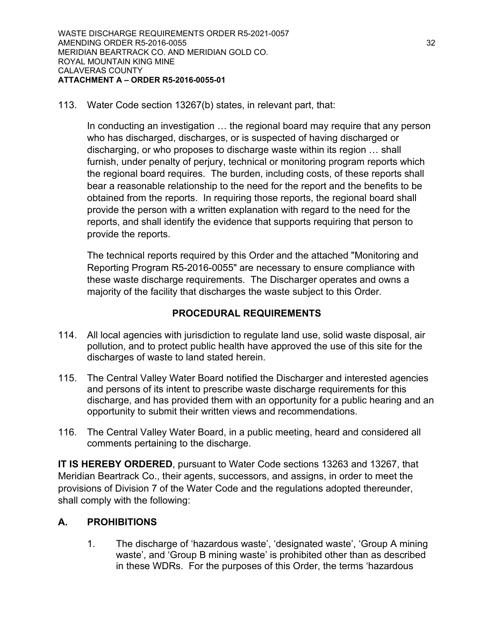113. Water Code section 13267(b) states, in relevant part, that:

In conducting an investigation … the regional board may require that any person who has discharged, discharges, or is suspected of having discharged or discharging, or who proposes to discharge waste within its region … shall furnish, under penalty of perjury, technical or monitoring program reports which the regional board requires. The burden, including costs, of these reports shall bear a reasonable relationship to the need for the report and the benefits to be obtained from the reports. In requiring those reports, the regional board shall provide the person with a written explanation with regard to the need for the reports, and shall identify the evidence that supports requiring that person to provide the reports.

The technical reports required by this Order and the attached "Monitoring and Reporting Program R5-2016-0055" are necessary to ensure compliance with these waste discharge requirements. The Discharger operates and owns a majority of the facility that discharges the waste subject to this Order.

## **PROCEDURAL REQUIREMENTS**

- 114. All local agencies with jurisdiction to regulate land use, solid waste disposal, air pollution, and to protect public health have approved the use of this site for the discharges of waste to land stated herein.
- 115. The Central Valley Water Board notified the Discharger and interested agencies and persons of its intent to prescribe waste discharge requirements for this discharge, and has provided them with an opportunity for a public hearing and an opportunity to submit their written views and recommendations.
- 116. The Central Valley Water Board, in a public meeting, heard and considered all comments pertaining to the discharge.

**IT IS HEREBY ORDERED**, pursuant to Water Code sections 13263 and 13267, that Meridian Beartrack Co., their agents, successors, and assigns, in order to meet the provisions of Division 7 of the Water Code and the regulations adopted thereunder, shall comply with the following:

## **A. PROHIBITIONS**

1. The discharge of 'hazardous waste', 'designated waste', 'Group A mining waste', and 'Group B mining waste' is prohibited other than as described in these WDRs. For the purposes of this Order, the terms 'hazardous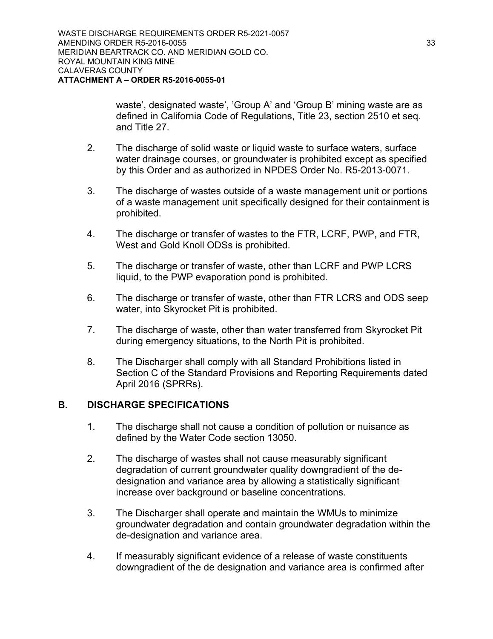waste', designated waste', 'Group A' and 'Group B' mining waste are as defined in California Code of Regulations, Title 23, section 2510 et seq. and Title 27.

- 2. The discharge of solid waste or liquid waste to surface waters, surface water drainage courses, or groundwater is prohibited except as specified by this Order and as authorized in NPDES Order No. R5-2013-0071.
- 3. The discharge of wastes outside of a waste management unit or portions of a waste management unit specifically designed for their containment is prohibited.
- 4. The discharge or transfer of wastes to the FTR, LCRF, PWP, and FTR, West and Gold Knoll ODSs is prohibited.
- 5. The discharge or transfer of waste, other than LCRF and PWP LCRS liquid, to the PWP evaporation pond is prohibited.
- 6. The discharge or transfer of waste, other than FTR LCRS and ODS seep water, into Skyrocket Pit is prohibited.
- 7. The discharge of waste, other than water transferred from Skyrocket Pit during emergency situations, to the North Pit is prohibited.
- 8. The Discharger shall comply with all Standard Prohibitions listed in Section C of the Standard Provisions and Reporting Requirements dated April 2016 (SPRRs).

## **B. DISCHARGE SPECIFICATIONS**

- 1. The discharge shall not cause a condition of pollution or nuisance as defined by the Water Code section 13050.
- 2. The discharge of wastes shall not cause measurably significant degradation of current groundwater quality downgradient of the dedesignation and variance area by allowing a statistically significant increase over background or baseline concentrations.
- 3. The Discharger shall operate and maintain the WMUs to minimize groundwater degradation and contain groundwater degradation within the de-designation and variance area.
- 4. If measurably significant evidence of a release of waste constituents downgradient of the de designation and variance area is confirmed after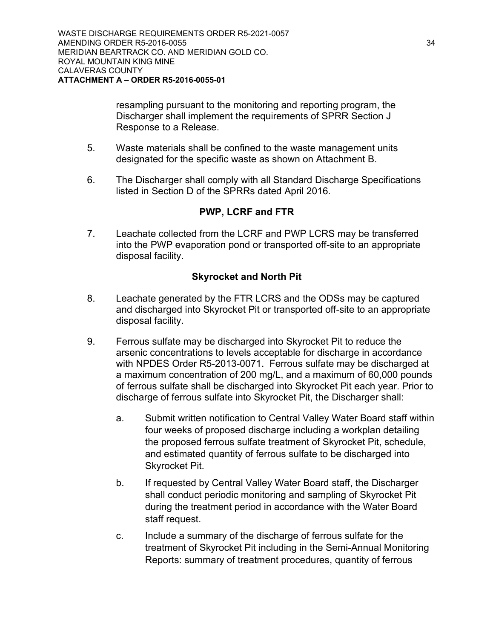resampling pursuant to the monitoring and reporting program, the Discharger shall implement the requirements of SPRR Section J Response to a Release.

- 5. Waste materials shall be confined to the waste management units designated for the specific waste as shown on Attachment B.
- 6. The Discharger shall comply with all Standard Discharge Specifications listed in Section D of the SPRRs dated April 2016.

# **PWP, LCRF and FTR**

7. Leachate collected from the LCRF and PWP LCRS may be transferred into the PWP evaporation pond or transported off-site to an appropriate disposal facility.

# **Skyrocket and North Pit**

- 8. Leachate generated by the FTR LCRS and the ODSs may be captured and discharged into Skyrocket Pit or transported off-site to an appropriate disposal facility.
- 9. Ferrous sulfate may be discharged into Skyrocket Pit to reduce the arsenic concentrations to levels acceptable for discharge in accordance with NPDES Order R5-2013-0071. Ferrous sulfate may be discharged at a maximum concentration of 200 mg/L, and a maximum of 60,000 pounds of ferrous sulfate shall be discharged into Skyrocket Pit each year. Prior to discharge of ferrous sulfate into Skyrocket Pit, the Discharger shall:
	- a. Submit written notification to Central Valley Water Board staff within four weeks of proposed discharge including a workplan detailing the proposed ferrous sulfate treatment of Skyrocket Pit, schedule, and estimated quantity of ferrous sulfate to be discharged into Skyrocket Pit.
	- b. If requested by Central Valley Water Board staff, the Discharger shall conduct periodic monitoring and sampling of Skyrocket Pit during the treatment period in accordance with the Water Board staff request.
	- c. Include a summary of the discharge of ferrous sulfate for the treatment of Skyrocket Pit including in the Semi-Annual Monitoring Reports: summary of treatment procedures, quantity of ferrous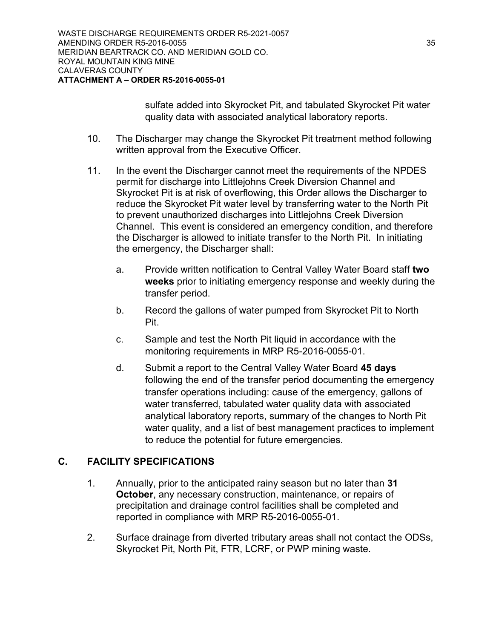sulfate added into Skyrocket Pit, and tabulated Skyrocket Pit water quality data with associated analytical laboratory reports.

- 10. The Discharger may change the Skyrocket Pit treatment method following written approval from the Executive Officer.
- 11. In the event the Discharger cannot meet the requirements of the NPDES permit for discharge into Littlejohns Creek Diversion Channel and Skyrocket Pit is at risk of overflowing, this Order allows the Discharger to reduce the Skyrocket Pit water level by transferring water to the North Pit to prevent unauthorized discharges into Littlejohns Creek Diversion Channel. This event is considered an emergency condition, and therefore the Discharger is allowed to initiate transfer to the North Pit. In initiating the emergency, the Discharger shall:
	- a. Provide written notification to Central Valley Water Board staff **two weeks** prior to initiating emergency response and weekly during the transfer period.
	- b. Record the gallons of water pumped from Skyrocket Pit to North Pit.
	- c. Sample and test the North Pit liquid in accordance with the monitoring requirements in MRP R5-2016-0055-01.
	- d. Submit a report to the Central Valley Water Board **45 days** following the end of the transfer period documenting the emergency transfer operations including: cause of the emergency, gallons of water transferred, tabulated water quality data with associated analytical laboratory reports, summary of the changes to North Pit water quality, and a list of best management practices to implement to reduce the potential for future emergencies.

# **C. FACILITY SPECIFICATIONS**

- 1. Annually, prior to the anticipated rainy season but no later than **31 October**, any necessary construction, maintenance, or repairs of precipitation and drainage control facilities shall be completed and reported in compliance with MRP R5-2016-0055-01.
- 2. Surface drainage from diverted tributary areas shall not contact the ODSs, Skyrocket Pit, North Pit, FTR, LCRF, or PWP mining waste.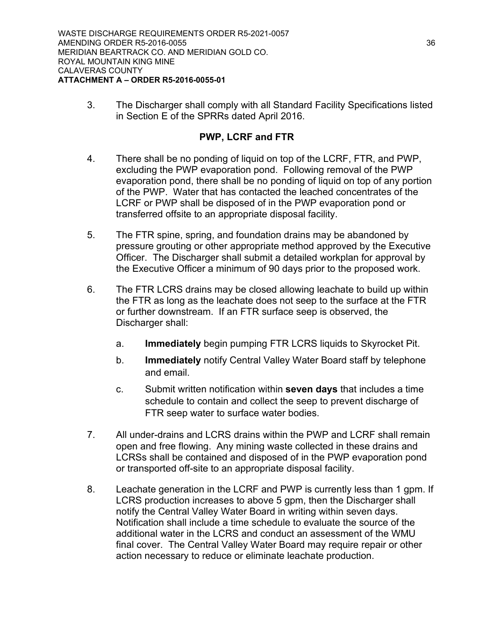3. The Discharger shall comply with all Standard Facility Specifications listed in Section E of the SPRRs dated April 2016.

## **PWP, LCRF and FTR**

- 4. There shall be no ponding of liquid on top of the LCRF, FTR, and PWP, excluding the PWP evaporation pond. Following removal of the PWP evaporation pond, there shall be no ponding of liquid on top of any portion of the PWP. Water that has contacted the leached concentrates of the LCRF or PWP shall be disposed of in the PWP evaporation pond or transferred offsite to an appropriate disposal facility.
- 5. The FTR spine, spring, and foundation drains may be abandoned by pressure grouting or other appropriate method approved by the Executive Officer. The Discharger shall submit a detailed workplan for approval by the Executive Officer a minimum of 90 days prior to the proposed work.
- 6. The FTR LCRS drains may be closed allowing leachate to build up within the FTR as long as the leachate does not seep to the surface at the FTR or further downstream. If an FTR surface seep is observed, the Discharger shall:
	- a. **Immediately** begin pumping FTR LCRS liquids to Skyrocket Pit.
	- b. **Immediately** notify Central Valley Water Board staff by telephone and email.
	- c. Submit written notification within **seven days** that includes a time schedule to contain and collect the seep to prevent discharge of FTR seep water to surface water bodies.
- 7. All under-drains and LCRS drains within the PWP and LCRF shall remain open and free flowing. Any mining waste collected in these drains and LCRSs shall be contained and disposed of in the PWP evaporation pond or transported off-site to an appropriate disposal facility.
- 8. Leachate generation in the LCRF and PWP is currently less than 1 gpm. If LCRS production increases to above 5 gpm, then the Discharger shall notify the Central Valley Water Board in writing within seven days. Notification shall include a time schedule to evaluate the source of the additional water in the LCRS and conduct an assessment of the WMU final cover. The Central Valley Water Board may require repair or other action necessary to reduce or eliminate leachate production.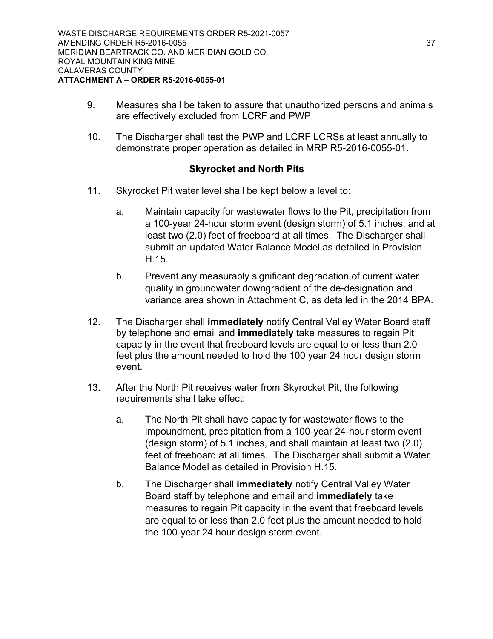- 9. Measures shall be taken to assure that unauthorized persons and animals are effectively excluded from LCRF and PWP.
- 10. The Discharger shall test the PWP and LCRF LCRSs at least annually to demonstrate proper operation as detailed in MRP R5-2016-0055-01.

## **Skyrocket and North Pits**

- 11. Skyrocket Pit water level shall be kept below a level to:
	- a. Maintain capacity for wastewater flows to the Pit, precipitation from a 100-year 24-hour storm event (design storm) of 5.1 inches, and at least two (2.0) feet of freeboard at all times. The Discharger shall submit an updated Water Balance Model as detailed in Provision H.15.
	- b. Prevent any measurably significant degradation of current water quality in groundwater downgradient of the de-designation and variance area shown in Attachment C, as detailed in the 2014 BPA.
- 12. The Discharger shall **immediately** notify Central Valley Water Board staff by telephone and email and **immediately** take measures to regain Pit capacity in the event that freeboard levels are equal to or less than 2.0 feet plus the amount needed to hold the 100 year 24 hour design storm event.
- 13. After the North Pit receives water from Skyrocket Pit, the following requirements shall take effect:
	- a. The North Pit shall have capacity for wastewater flows to the impoundment, precipitation from a 100-year 24-hour storm event (design storm) of 5.1 inches, and shall maintain at least two (2.0) feet of freeboard at all times. The Discharger shall submit a Water Balance Model as detailed in Provision H.15.
	- b. The Discharger shall **immediately** notify Central Valley Water Board staff by telephone and email and **immediately** take measures to regain Pit capacity in the event that freeboard levels are equal to or less than 2.0 feet plus the amount needed to hold the 100-year 24 hour design storm event.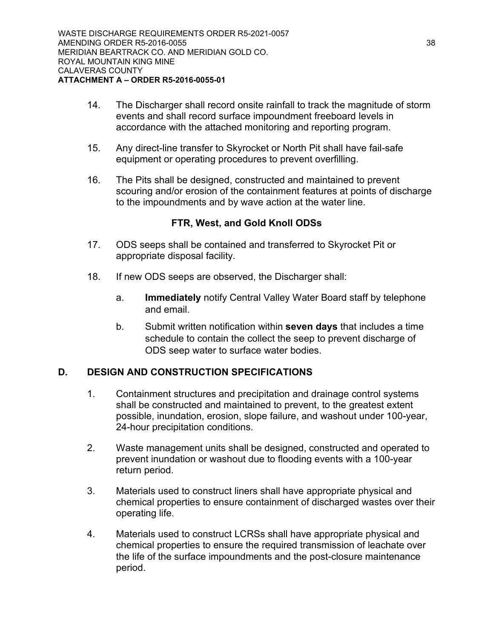- 14. The Discharger shall record onsite rainfall to track the magnitude of storm events and shall record surface impoundment freeboard levels in accordance with the attached monitoring and reporting program.
- 15. Any direct-line transfer to Skyrocket or North Pit shall have fail-safe equipment or operating procedures to prevent overfilling.
- 16. The Pits shall be designed, constructed and maintained to prevent scouring and/or erosion of the containment features at points of discharge to the impoundments and by wave action at the water line.

## **FTR, West, and Gold Knoll ODSs**

- 17. ODS seeps shall be contained and transferred to Skyrocket Pit or appropriate disposal facility.
- 18. If new ODS seeps are observed, the Discharger shall:
	- a. **Immediately** notify Central Valley Water Board staff by telephone and email.
	- b. Submit written notification within **seven days** that includes a time schedule to contain the collect the seep to prevent discharge of ODS seep water to surface water bodies.

# **D. DESIGN AND CONSTRUCTION SPECIFICATIONS**

- 1. Containment structures and precipitation and drainage control systems shall be constructed and maintained to prevent, to the greatest extent possible, inundation, erosion, slope failure, and washout under 100-year, 24-hour precipitation conditions.
- 2. Waste management units shall be designed, constructed and operated to prevent inundation or washout due to flooding events with a 100-year return period.
- 3. Materials used to construct liners shall have appropriate physical and chemical properties to ensure containment of discharged wastes over their operating life.
- 4. Materials used to construct LCRSs shall have appropriate physical and chemical properties to ensure the required transmission of leachate over the life of the surface impoundments and the post-closure maintenance period.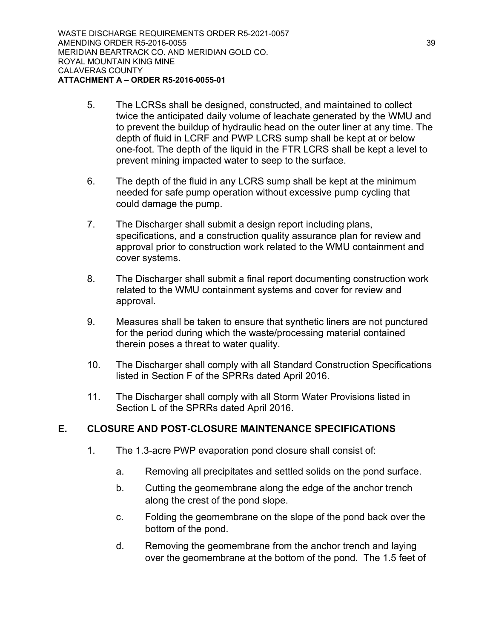- 5. The LCRSs shall be designed, constructed, and maintained to collect twice the anticipated daily volume of leachate generated by the WMU and to prevent the buildup of hydraulic head on the outer liner at any time. The depth of fluid in LCRF and PWP LCRS sump shall be kept at or below one-foot. The depth of the liquid in the FTR LCRS shall be kept a level to prevent mining impacted water to seep to the surface.
- 6. The depth of the fluid in any LCRS sump shall be kept at the minimum needed for safe pump operation without excessive pump cycling that could damage the pump.
- 7. The Discharger shall submit a design report including plans, specifications, and a construction quality assurance plan for review and approval prior to construction work related to the WMU containment and cover systems.
- 8. The Discharger shall submit a final report documenting construction work related to the WMU containment systems and cover for review and approval.
- 9. Measures shall be taken to ensure that synthetic liners are not punctured for the period during which the waste/processing material contained therein poses a threat to water quality.
- 10. The Discharger shall comply with all Standard Construction Specifications listed in Section F of the SPRRs dated April 2016.
- 11. The Discharger shall comply with all Storm Water Provisions listed in Section L of the SPRRs dated April 2016.

# **E. CLOSURE AND POST-CLOSURE MAINTENANCE SPECIFICATIONS**

- 1. The 1.3-acre PWP evaporation pond closure shall consist of:
	- a. Removing all precipitates and settled solids on the pond surface.
	- b. Cutting the geomembrane along the edge of the anchor trench along the crest of the pond slope.
	- c. Folding the geomembrane on the slope of the pond back over the bottom of the pond.
	- d. Removing the geomembrane from the anchor trench and laying over the geomembrane at the bottom of the pond. The 1.5 feet of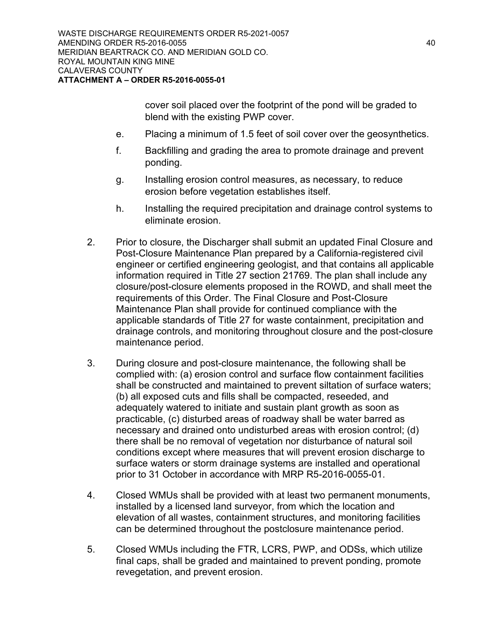cover soil placed over the footprint of the pond will be graded to blend with the existing PWP cover.

- e. Placing a minimum of 1.5 feet of soil cover over the geosynthetics.
- f. Backfilling and grading the area to promote drainage and prevent ponding.
- g. Installing erosion control measures, as necessary, to reduce erosion before vegetation establishes itself.
- h. Installing the required precipitation and drainage control systems to eliminate erosion.
- 2. Prior to closure, the Discharger shall submit an updated Final Closure and Post-Closure Maintenance Plan prepared by a California-registered civil engineer or certified engineering geologist, and that contains all applicable information required in Title 27 section 21769. The plan shall include any closure/post-closure elements proposed in the ROWD, and shall meet the requirements of this Order. The Final Closure and Post-Closure Maintenance Plan shall provide for continued compliance with the applicable standards of Title 27 for waste containment, precipitation and drainage controls, and monitoring throughout closure and the post-closure maintenance period.
- 3. During closure and post-closure maintenance, the following shall be complied with: (a) erosion control and surface flow containment facilities shall be constructed and maintained to prevent siltation of surface waters; (b) all exposed cuts and fills shall be compacted, reseeded, and adequately watered to initiate and sustain plant growth as soon as practicable, (c) disturbed areas of roadway shall be water barred as necessary and drained onto undisturbed areas with erosion control; (d) there shall be no removal of vegetation nor disturbance of natural soil conditions except where measures that will prevent erosion discharge to surface waters or storm drainage systems are installed and operational prior to 31 October in accordance with MRP R5-2016-0055-01.
- 4. Closed WMUs shall be provided with at least two permanent monuments, installed by a licensed land surveyor, from which the location and elevation of all wastes, containment structures, and monitoring facilities can be determined throughout the postclosure maintenance period.
- 5. Closed WMUs including the FTR, LCRS, PWP, and ODSs, which utilize final caps, shall be graded and maintained to prevent ponding, promote revegetation, and prevent erosion.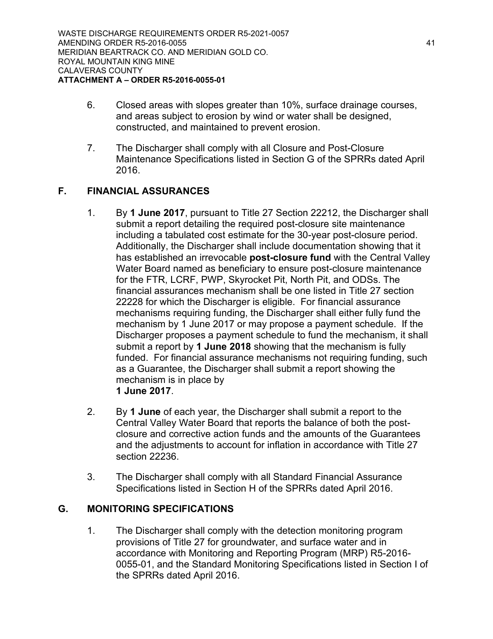- 6. Closed areas with slopes greater than 10%, surface drainage courses, and areas subject to erosion by wind or water shall be designed, constructed, and maintained to prevent erosion.
- 7. The Discharger shall comply with all Closure and Post-Closure Maintenance Specifications listed in Section G of the SPRRs dated April 2016.

# **F. FINANCIAL ASSURANCES**

- 1. By **1 June 2017**, pursuant to Title 27 Section 22212, the Discharger shall submit a report detailing the required post-closure site maintenance including a tabulated cost estimate for the 30-year post-closure period. Additionally, the Discharger shall include documentation showing that it has established an irrevocable **post-closure fund** with the Central Valley Water Board named as beneficiary to ensure post-closure maintenance for the FTR, LCRF, PWP, Skyrocket Pit, North Pit, and ODSs. The financial assurances mechanism shall be one listed in Title 27 section 22228 for which the Discharger is eligible. For financial assurance mechanisms requiring funding, the Discharger shall either fully fund the mechanism by 1 June 2017 or may propose a payment schedule. If the Discharger proposes a payment schedule to fund the mechanism, it shall submit a report by **1 June 2018** showing that the mechanism is fully funded. For financial assurance mechanisms not requiring funding, such as a Guarantee, the Discharger shall submit a report showing the mechanism is in place by **1 June 2017**.
- 2. By **1 June** of each year, the Discharger shall submit a report to the Central Valley Water Board that reports the balance of both the postclosure and corrective action funds and the amounts of the Guarantees and the adjustments to account for inflation in accordance with Title 27 section 22236.
- 3. The Discharger shall comply with all Standard Financial Assurance Specifications listed in Section H of the SPRRs dated April 2016.

# **G. MONITORING SPECIFICATIONS**

1. The Discharger shall comply with the detection monitoring program provisions of Title 27 for groundwater, and surface water and in accordance with Monitoring and Reporting Program (MRP) R5-2016- 0055-01, and the Standard Monitoring Specifications listed in Section I of the SPRRs dated April 2016.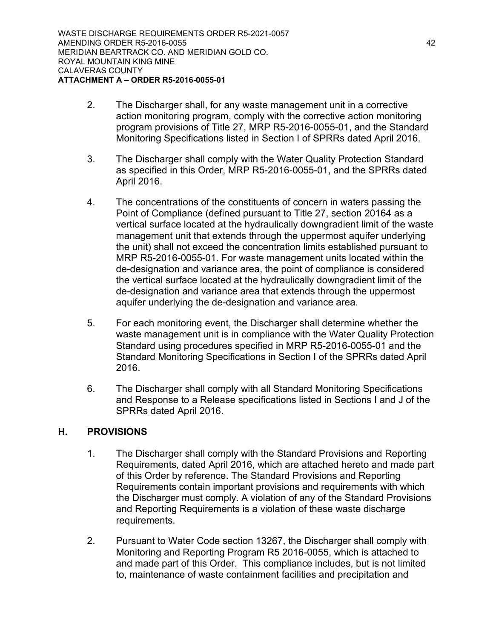- 2. The Discharger shall, for any waste management unit in a corrective action monitoring program, comply with the corrective action monitoring program provisions of Title 27, MRP R5-2016-0055-01, and the Standard Monitoring Specifications listed in Section I of SPRRs dated April 2016.
- 3. The Discharger shall comply with the Water Quality Protection Standard as specified in this Order, MRP R5-2016-0055-01, and the SPRRs dated April 2016.
- 4. The concentrations of the constituents of concern in waters passing the Point of Compliance (defined pursuant to Title 27, section 20164 as a vertical surface located at the hydraulically downgradient limit of the waste management unit that extends through the uppermost aquifer underlying the unit) shall not exceed the concentration limits established pursuant to MRP R5-2016-0055-01. For waste management units located within the de-designation and variance area, the point of compliance is considered the vertical surface located at the hydraulically downgradient limit of the de-designation and variance area that extends through the uppermost aquifer underlying the de-designation and variance area.
- 5. For each monitoring event, the Discharger shall determine whether the waste management unit is in compliance with the Water Quality Protection Standard using procedures specified in MRP R5-2016-0055-01 and the Standard Monitoring Specifications in Section I of the SPRRs dated April 2016.
- 6. The Discharger shall comply with all Standard Monitoring Specifications and Response to a Release specifications listed in Sections I and J of the SPRRs dated April 2016.

## **H. PROVISIONS**

- 1. The Discharger shall comply with the Standard Provisions and Reporting Requirements, dated April 2016, which are attached hereto and made part of this Order by reference. The Standard Provisions and Reporting Requirements contain important provisions and requirements with which the Discharger must comply. A violation of any of the Standard Provisions and Reporting Requirements is a violation of these waste discharge requirements.
- 2. Pursuant to Water Code section 13267, the Discharger shall comply with Monitoring and Reporting Program R5 2016-0055, which is attached to and made part of this Order. This compliance includes, but is not limited to, maintenance of waste containment facilities and precipitation and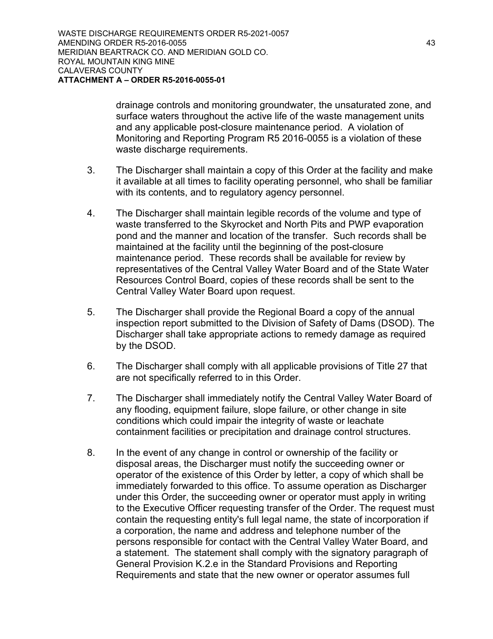drainage controls and monitoring groundwater, the unsaturated zone, and surface waters throughout the active life of the waste management units and any applicable post-closure maintenance period. A violation of Monitoring and Reporting Program R5 2016-0055 is a violation of these waste discharge requirements.

- 3. The Discharger shall maintain a copy of this Order at the facility and make it available at all times to facility operating personnel, who shall be familiar with its contents, and to regulatory agency personnel.
- 4. The Discharger shall maintain legible records of the volume and type of waste transferred to the Skyrocket and North Pits and PWP evaporation pond and the manner and location of the transfer. Such records shall be maintained at the facility until the beginning of the post-closure maintenance period. These records shall be available for review by representatives of the Central Valley Water Board and of the State Water Resources Control Board, copies of these records shall be sent to the Central Valley Water Board upon request.
- 5. The Discharger shall provide the Regional Board a copy of the annual inspection report submitted to the Division of Safety of Dams (DSOD). The Discharger shall take appropriate actions to remedy damage as required by the DSOD.
- 6. The Discharger shall comply with all applicable provisions of Title 27 that are not specifically referred to in this Order.
- 7. The Discharger shall immediately notify the Central Valley Water Board of any flooding, equipment failure, slope failure, or other change in site conditions which could impair the integrity of waste or leachate containment facilities or precipitation and drainage control structures.
- 8. In the event of any change in control or ownership of the facility or disposal areas, the Discharger must notify the succeeding owner or operator of the existence of this Order by letter, a copy of which shall be immediately forwarded to this office. To assume operation as Discharger under this Order, the succeeding owner or operator must apply in writing to the Executive Officer requesting transfer of the Order. The request must contain the requesting entity's full legal name, the state of incorporation if a corporation, the name and address and telephone number of the persons responsible for contact with the Central Valley Water Board, and a statement. The statement shall comply with the signatory paragraph of General Provision K.2.e in the Standard Provisions and Reporting Requirements and state that the new owner or operator assumes full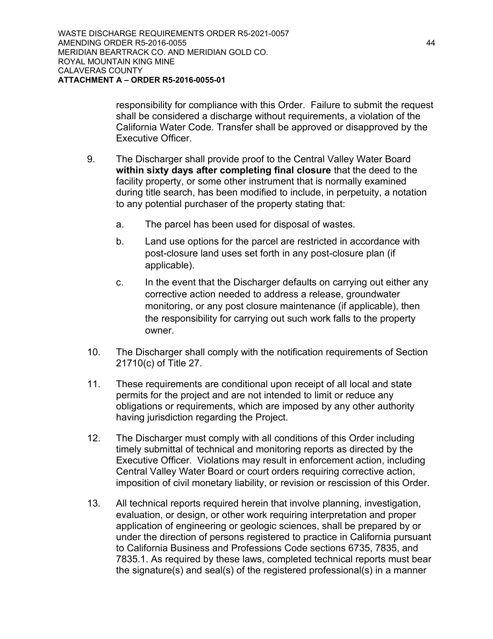responsibility for compliance with this Order. Failure to submit the request shall be considered a discharge without requirements, a violation of the California Water Code. Transfer shall be approved or disapproved by the Executive Officer.

- 9. The Discharger shall provide proof to the Central Valley Water Board **within sixty days after completing final closure** that the deed to the facility property, or some other instrument that is normally examined during title search, has been modified to include, in perpetuity, a notation to any potential purchaser of the property stating that:
	- a. The parcel has been used for disposal of wastes.
	- b. Land use options for the parcel are restricted in accordance with post-closure land uses set forth in any post-closure plan (if applicable).
	- c. In the event that the Discharger defaults on carrying out either any corrective action needed to address a release, groundwater monitoring, or any post closure maintenance (if applicable), then the responsibility for carrying out such work falls to the property owner.
- 10. The Discharger shall comply with the notification requirements of Section 21710(c) of Title 27.
- 11. These requirements are conditional upon receipt of all local and state permits for the project and are not intended to limit or reduce any obligations or requirements, which are imposed by any other authority having jurisdiction regarding the Project.
- 12. The Discharger must comply with all conditions of this Order including timely submittal of technical and monitoring reports as directed by the Executive Officer. Violations may result in enforcement action, including Central Valley Water Board or court orders requiring corrective action, imposition of civil monetary liability, or revision or rescission of this Order.
- 13. All technical reports required herein that involve planning, investigation, evaluation, or design, or other work requiring interpretation and proper application of engineering or geologic sciences, shall be prepared by or under the direction of persons registered to practice in California pursuant to California Business and Professions Code sections 6735, 7835, and 7835.1. As required by these laws, completed technical reports must bear the signature(s) and seal(s) of the registered professional(s) in a manner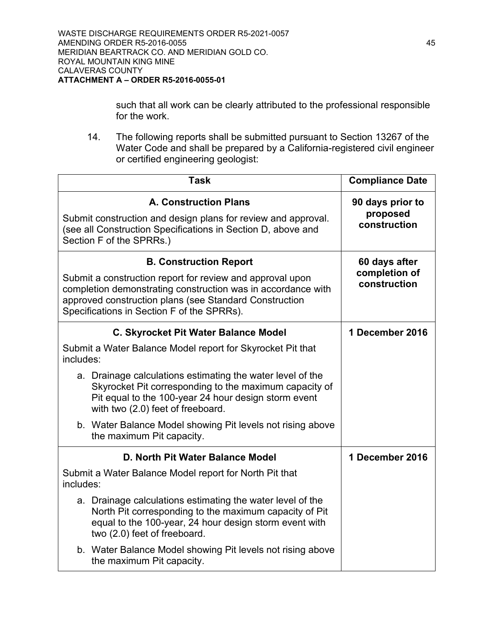such that all work can be clearly attributed to the professional responsible for the work.

14. The following reports shall be submitted pursuant to Section 13267 of the Water Code and shall be prepared by a California-registered civil engineer or certified engineering geologist:

| <b>Task</b>                                                                                                                                                                                                                       | <b>Compliance Date</b>        |  |
|-----------------------------------------------------------------------------------------------------------------------------------------------------------------------------------------------------------------------------------|-------------------------------|--|
| <b>A. Construction Plans</b>                                                                                                                                                                                                      | 90 days prior to              |  |
| Submit construction and design plans for review and approval.<br>(see all Construction Specifications in Section D, above and<br>Section F of the SPRRs.)                                                                         | proposed<br>construction      |  |
| <b>B. Construction Report</b>                                                                                                                                                                                                     | 60 days after                 |  |
| Submit a construction report for review and approval upon<br>completion demonstrating construction was in accordance with<br>approved construction plans (see Standard Construction<br>Specifications in Section F of the SPRRs). | completion of<br>construction |  |
| <b>C. Skyrocket Pit Water Balance Model</b>                                                                                                                                                                                       | 1 December 2016               |  |
| Submit a Water Balance Model report for Skyrocket Pit that<br>includes:                                                                                                                                                           |                               |  |
| a. Drainage calculations estimating the water level of the<br>Skyrocket Pit corresponding to the maximum capacity of<br>Pit equal to the 100-year 24 hour design storm event<br>with two (2.0) feet of freeboard.                 |                               |  |
| b. Water Balance Model showing Pit levels not rising above<br>the maximum Pit capacity.                                                                                                                                           |                               |  |
| D. North Pit Water Balance Model                                                                                                                                                                                                  | 1 December 2016               |  |
| Submit a Water Balance Model report for North Pit that<br>includes:                                                                                                                                                               |                               |  |
| a. Drainage calculations estimating the water level of the<br>North Pit corresponding to the maximum capacity of Pit<br>equal to the 100-year, 24 hour design storm event with<br>two (2.0) feet of freeboard.                    |                               |  |
| b. Water Balance Model showing Pit levels not rising above<br>the maximum Pit capacity.                                                                                                                                           |                               |  |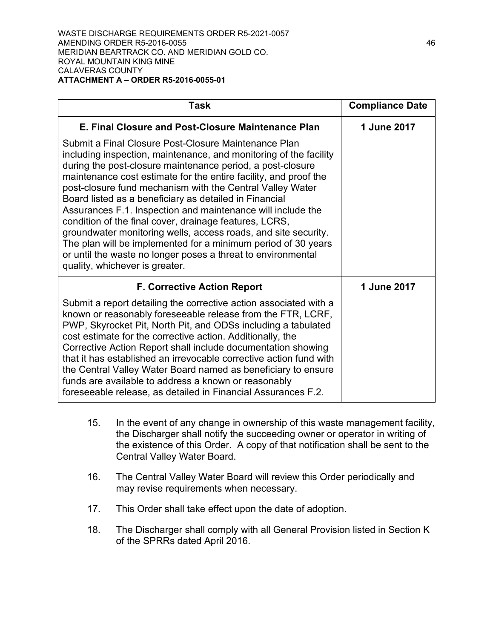| Task                                                                                                                                                                                                                                                                                                                                                                                                                                                                                                                                                                                                                                                                                                                                             | <b>Compliance Date</b> |
|--------------------------------------------------------------------------------------------------------------------------------------------------------------------------------------------------------------------------------------------------------------------------------------------------------------------------------------------------------------------------------------------------------------------------------------------------------------------------------------------------------------------------------------------------------------------------------------------------------------------------------------------------------------------------------------------------------------------------------------------------|------------------------|
| E. Final Closure and Post-Closure Maintenance Plan                                                                                                                                                                                                                                                                                                                                                                                                                                                                                                                                                                                                                                                                                               | 1 June 2017            |
| Submit a Final Closure Post-Closure Maintenance Plan<br>including inspection, maintenance, and monitoring of the facility<br>during the post-closure maintenance period, a post-closure<br>maintenance cost estimate for the entire facility, and proof the<br>post-closure fund mechanism with the Central Valley Water<br>Board listed as a beneficiary as detailed in Financial<br>Assurances F.1. Inspection and maintenance will include the<br>condition of the final cover, drainage features, LCRS,<br>groundwater monitoring wells, access roads, and site security.<br>The plan will be implemented for a minimum period of 30 years<br>or until the waste no longer poses a threat to environmental<br>quality, whichever is greater. |                        |
| <b>F. Corrective Action Report</b>                                                                                                                                                                                                                                                                                                                                                                                                                                                                                                                                                                                                                                                                                                               | 1 June 2017            |
| Submit a report detailing the corrective action associated with a<br>known or reasonably foreseeable release from the FTR, LCRF,<br>PWP, Skyrocket Pit, North Pit, and ODSs including a tabulated<br>cost estimate for the corrective action. Additionally, the<br>Corrective Action Report shall include documentation showing<br>that it has established an irrevocable corrective action fund with<br>the Central Valley Water Board named as beneficiary to ensure<br>funds are available to address a known or reasonably<br>foreseeable release, as detailed in Financial Assurances F.2.                                                                                                                                                  |                        |

- 15. In the event of any change in ownership of this waste management facility, the Discharger shall notify the succeeding owner or operator in writing of the existence of this Order. A copy of that notification shall be sent to the Central Valley Water Board.
- 16. The Central Valley Water Board will review this Order periodically and may revise requirements when necessary.
- 17. This Order shall take effect upon the date of adoption.
- 18. The Discharger shall comply with all General Provision listed in Section K of the SPRRs dated April 2016.